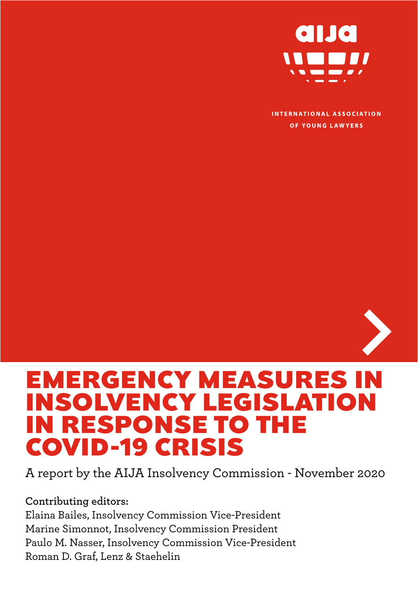

**INTERNATIONAL ASSOCIATION** OF YOUNG LAWYERS



# EMERGENCY MEASURES IN INSOLVENCY LEGISLATION IN RESPONSE TO THE COVID-19 CRISIS

A report by the AIJA Insolvency Commission - November 2020

**Contributing editors:**  Elaina Bailes, Insolvency Commission Vice-President Marine Simonnot, Insolvency Commission President Paulo M. Nasser, Insolvency Commission Vice-President Roman D. Graf, Lenz & Staehelin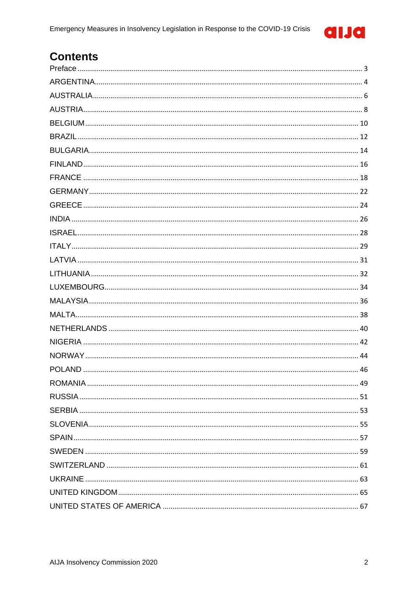

# **Contents**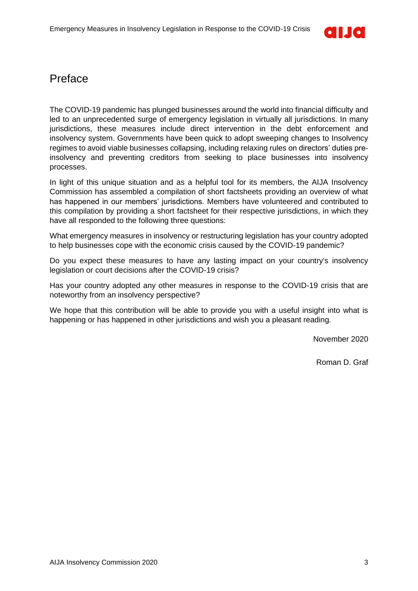

## <span id="page-2-0"></span>Preface

The COVID-19 pandemic has plunged businesses around the world into financial difficulty and led to an unprecedented surge of emergency legislation in virtually all jurisdictions. In many jurisdictions, these measures include direct intervention in the debt enforcement and insolvency system. Governments have been quick to adopt sweeping changes to Insolvency regimes to avoid viable businesses collapsing, including relaxing rules on directors' duties preinsolvency and preventing creditors from seeking to place businesses into insolvency processes.

In light of this unique situation and as a helpful tool for its members, the AIJA Insolvency Commission has assembled a compilation of short factsheets providing an overview of what has happened in our members' jurisdictions. Members have volunteered and contributed to this compilation by providing a short factsheet for their respective jurisdictions, in which they have all responded to the following three questions:

What emergency measures in insolvency or restructuring legislation has your country adopted to help businesses cope with the economic crisis caused by the COVID-19 pandemic?

Do you expect these measures to have any lasting impact on your country's insolvency legislation or court decisions after the COVID-19 crisis?

Has your country adopted any other measures in response to the COVID-19 crisis that are noteworthy from an insolvency perspective?

We hope that this contribution will be able to provide you with a useful insight into what is happening or has happened in other jurisdictions and wish you a pleasant reading.

November 2020

Roman D. Graf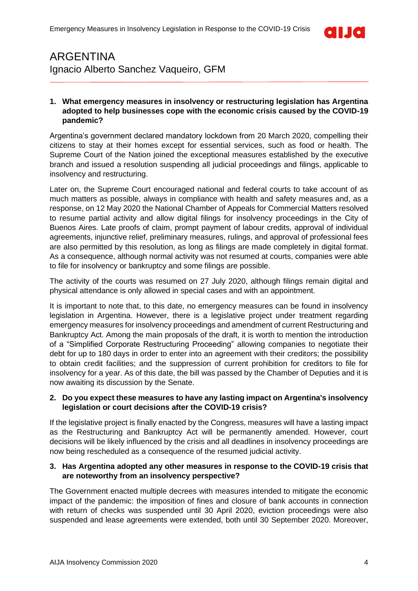

### <span id="page-3-0"></span>ARGENTINA Ignacio Alberto Sanchez Vaqueiro, GFM

### **1. What emergency measures in insolvency or restructuring legislation has Argentina adopted to help businesses cope with the economic crisis caused by the COVID-19 pandemic?**

Argentina's government declared mandatory lockdown from 20 March 2020, compelling their citizens to stay at their homes except for essential services, such as food or health. The Supreme Court of the Nation joined the exceptional measures established by the executive branch and issued a resolution suspending all judicial proceedings and filings, applicable to insolvency and restructuring.

Later on, the Supreme Court encouraged national and federal courts to take account of as much matters as possible, always in compliance with health and safety measures and, as a response, on 12 May 2020 the National Chamber of Appeals for Commercial Matters resolved to resume partial activity and allow digital filings for insolvency proceedings in the City of Buenos Aires. Late proofs of claim, prompt payment of labour credits, approval of individual agreements, injunctive relief, preliminary measures, rulings, and approval of professional fees are also permitted by this resolution, as long as filings are made completely in digital format. As a consequence, although normal activity was not resumed at courts, companies were able to file for insolvency or bankruptcy and some filings are possible.

The activity of the courts was resumed on 27 July 2020, although filings remain digital and physical attendance is only allowed in special cases and with an appointment.

It is important to note that, to this date, no emergency measures can be found in insolvency legislation in Argentina. However, there is a legislative project under treatment regarding emergency measures for insolvency proceedings and amendment of current Restructuring and Bankruptcy Act. Among the main proposals of the draft, it is worth to mention the introduction of a "Simplified Corporate Restructuring Proceeding" allowing companies to negotiate their debt for up to 180 days in order to enter into an agreement with their creditors; the possibility to obtain credit facilities; and the suppression of current prohibition for creditors to file for insolvency for a year. As of this date, the bill was passed by the Chamber of Deputies and it is now awaiting its discussion by the Senate.

### **2. Do you expect these measures to have any lasting impact on Argentina's insolvency legislation or court decisions after the COVID-19 crisis?**

If the legislative project is finally enacted by the Congress, measures will have a lasting impact as the Restructuring and Bankruptcy Act will be permanently amended. However, court decisions will be likely influenced by the crisis and all deadlines in insolvency proceedings are now being rescheduled as a consequence of the resumed judicial activity.

### **3. Has Argentina adopted any other measures in response to the COVID-19 crisis that are noteworthy from an insolvency perspective?**

The Government enacted multiple decrees with measures intended to mitigate the economic impact of the pandemic: the imposition of fines and closure of bank accounts in connection with return of checks was suspended until 30 April 2020, eviction proceedings were also suspended and lease agreements were extended, both until 30 September 2020. Moreover,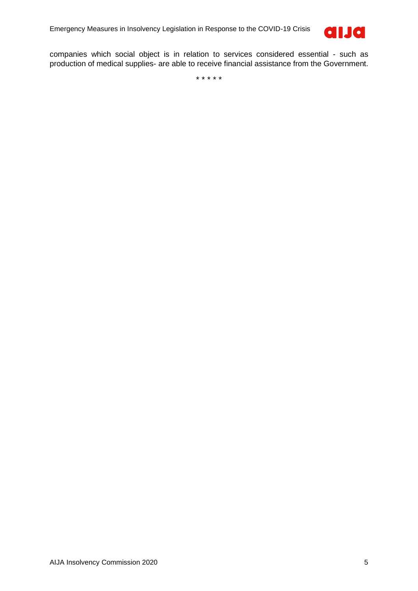

companies which social object is in relation to services considered essential - such as production of medical supplies- are able to receive financial assistance from the Government.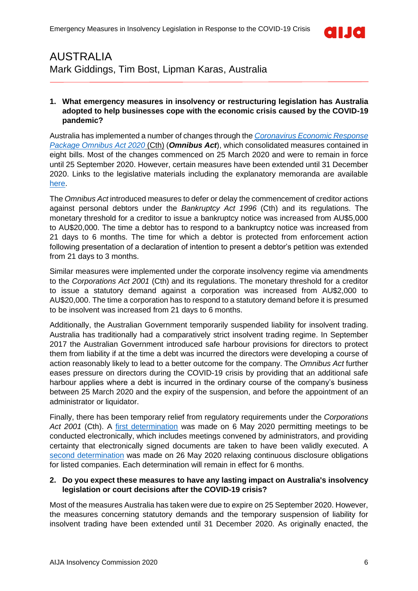

# <span id="page-5-0"></span>AUSTRALIA Mark Giddings, Tim Bost, Lipman Karas, Australia

### **1. What emergency measures in insolvency or restructuring legislation has Australia adopted to help businesses cope with the economic crisis caused by the COVID-19 pandemic?**

Australia has implemented a number of changes through the *[Coronavirus Economic Response](https://www.legislation.gov.au/Details/C2020C00139)  [Package Omnibus Act 2020](https://www.legislation.gov.au/Details/C2020C00139)* (Cth) (*Omnibus Act*), which consolidated measures contained in eight bills. Most of the changes commenced on 25 March 2020 and were to remain in force until 25 September 2020. However, certain measures have been extended until 31 December 2020. Links to the legislative materials including the explanatory memoranda are available [here.](https://www.aph.gov.au/Parliamentary_Business/Bills_Legislation/Bills_Search_Results/Result?bId=r6521)

The *Omnibus Act* introduced measures to defer or delay the commencement of creditor actions against personal debtors under the *Bankruptcy Act 1996* (Cth) and its regulations. The monetary threshold for a creditor to issue a bankruptcy notice was increased from AU\$5,000 to AU\$20,000. The time a debtor has to respond to a bankruptcy notice was increased from 21 days to 6 months. The time for which a debtor is protected from enforcement action following presentation of a declaration of intention to present a debtor's petition was extended from 21 days to 3 months.

Similar measures were implemented under the corporate insolvency regime via amendments to the *Corporations Act 2001* (Cth) and its regulations. The monetary threshold for a creditor to issue a statutory demand against a corporation was increased from AU\$2,000 to AU\$20,000. The time a corporation has to respond to a statutory demand before it is presumed to be insolvent was increased from 21 days to 6 months.

Additionally, the Australian Government temporarily suspended liability for insolvent trading. Australia has traditionally had a comparatively strict insolvent trading regime. In September 2017 the Australian Government introduced safe harbour provisions for directors to protect them from liability if at the time a debt was incurred the directors were developing a course of action reasonably likely to lead to a better outcome for the company. The *Omnibus Act* further eases pressure on directors during the COVID-19 crisis by providing that an additional safe harbour applies where a debt is incurred in the ordinary course of the company's business between 25 March 2020 and the expiry of the suspension, and before the appointment of an administrator or liquidator.

Finally, there has been temporary relief from regulatory requirements under the *Corporations Act 2001* (Cth). A [first determination](https://www.legislation.gov.au/Details/F2020L00553) was made on 6 May 2020 permitting meetings to be conducted electronically, which includes meetings convened by administrators, and providing certainty that electronically signed documents are taken to have been validly executed. A [second determination](https://www.legislation.gov.au/Details/F2020L00611) was made on 26 May 2020 relaxing continuous disclosure obligations for listed companies. Each determination will remain in effect for 6 months.

### **2. Do you expect these measures to have any lasting impact on Australia's insolvency legislation or court decisions after the COVID-19 crisis?**

Most of the measures Australia has taken were due to expire on 25 September 2020. However, the measures concerning statutory demands and the temporary suspension of liability for insolvent trading have been extended until 31 December 2020. As originally enacted, the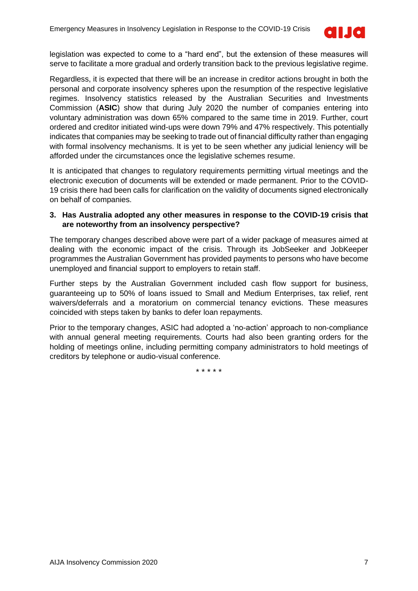

legislation was expected to come to a "hard end", but the extension of these measures will serve to facilitate a more gradual and orderly transition back to the previous legislative regime.

Regardless, it is expected that there will be an increase in creditor actions brought in both the personal and corporate insolvency spheres upon the resumption of the respective legislative regimes. Insolvency statistics released by the Australian Securities and Investments Commission (**ASIC**) show that during July 2020 the number of companies entering into voluntary administration was down 65% compared to the same time in 2019. Further, court ordered and creditor initiated wind-ups were down 79% and 47% respectively. This potentially indicates that companies may be seeking to trade out of financial difficulty rather than engaging with formal insolvency mechanisms. It is yet to be seen whether any judicial leniency will be afforded under the circumstances once the legislative schemes resume.

It is anticipated that changes to regulatory requirements permitting virtual meetings and the electronic execution of documents will be extended or made permanent. Prior to the COVID-19 crisis there had been calls for clarification on the validity of documents signed electronically on behalf of companies.

#### **3. Has Australia adopted any other measures in response to the COVID-19 crisis that are noteworthy from an insolvency perspective?**

The temporary changes described above were part of a wider package of measures aimed at dealing with the economic impact of the crisis. Through its JobSeeker and JobKeeper programmes the Australian Government has provided payments to persons who have become unemployed and financial support to employers to retain staff.

Further steps by the Australian Government included cash flow support for business, guaranteeing up to 50% of loans issued to Small and Medium Enterprises, tax relief, rent waivers/deferrals and a moratorium on commercial tenancy evictions. These measures coincided with steps taken by banks to defer loan repayments.

Prior to the temporary changes, ASIC had adopted a 'no-action' approach to non-compliance with annual general meeting requirements. Courts had also been granting orders for the holding of meetings online, including permitting company administrators to hold meetings of creditors by telephone or audio-visual conference.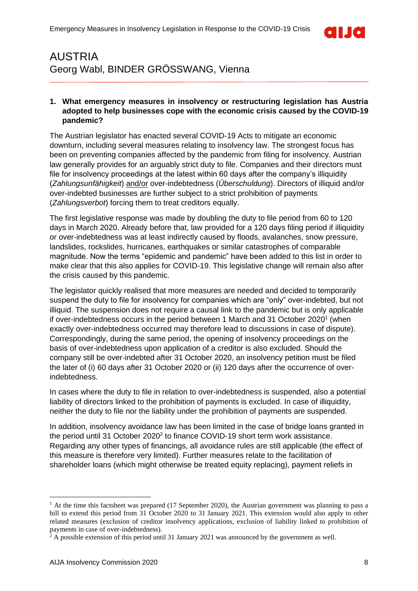

### <span id="page-7-0"></span>AUSTRIA Georg Wabl, BINDER GRÖSSWANG, Vienna

### **1. What emergency measures in insolvency or restructuring legislation has Austria adopted to help businesses cope with the economic crisis caused by the COVID-19 pandemic?**

The Austrian legislator has enacted several COVID-19 Acts to mitigate an economic downturn, including several measures relating to insolvency law. The strongest focus has been on preventing companies affected by the pandemic from filing for insolvency. Austrian law generally provides for an arguably strict duty to file. Companies and their directors must file for insolvency proceedings at the latest within 60 days after the company's illiquidity (*Zahlungsunfähigkeit*) and/or over-indebtedness (*Überschuldung*). Directors of illiquid and/or over-indebted businesses are further subject to a strict prohibition of payments (*Zahlungsverbot*) forcing them to treat creditors equally.

The first legislative response was made by doubling the duty to file period from 60 to 120 days in March 2020. Already before that, law provided for a 120 days filing period if illiquidity or over-indebtedness was at least indirectly caused by floods, avalanches, snow pressure, landslides, rockslides, hurricanes, earthquakes or similar catastrophes of comparable magnitude. Now the terms "epidemic and pandemic" have been added to this list in order to make clear that this also applies for COVID-19. This legislative change will remain also after the crisis caused by this pandemic.

The legislator quickly realised that more measures are needed and decided to temporarily suspend the duty to file for insolvency for companies which are "only" over-indebted, but not illiquid. The suspension does not require a causal link to the pandemic but is only applicable if over-indebtedness occurs in the period between 1 March and 31 October 2020<sup>1</sup> (when exactly over-indebtedness occurred may therefore lead to discussions in case of dispute). Correspondingly, during the same period, the opening of insolvency proceedings on the basis of over-indebtedness upon application of a creditor is also excluded. Should the company still be over-indebted after 31 October 2020, an insolvency petition must be filed the later of (i) 60 days after 31 October 2020 or (ii) 120 days after the occurrence of overindebtedness.

In cases where the duty to file in relation to over-indebtedness is suspended, also a potential liability of directors linked to the prohibition of payments is excluded. In case of illiquidity, neither the duty to file nor the liability under the prohibition of payments are suspended.

In addition, insolvency avoidance law has been limited in the case of bridge loans granted in the period until 31 October 2020<sup>2</sup> to finance COVID-19 short term work assistance. Regarding any other types of financings, all avoidance rules are still applicable (the effect of this measure is therefore very limited). Further measures relate to the facilitation of shareholder loans (which might otherwise be treated equity replacing), payment reliefs in

<sup>&</sup>lt;sup>1</sup> At the time this factsheet was prepared (17 September 2020), the Austrian government was planning to pass a bill to extend this period from 31 October 2020 to 31 January 2021. This extension would also apply to other related measures (exclusion of creditor insolvency applications, exclusion of liability linked to prohibition of payments in case of over-indebtedness).

 $2$  A possible extension of this period until 31 January 2021 was announced by the government as well.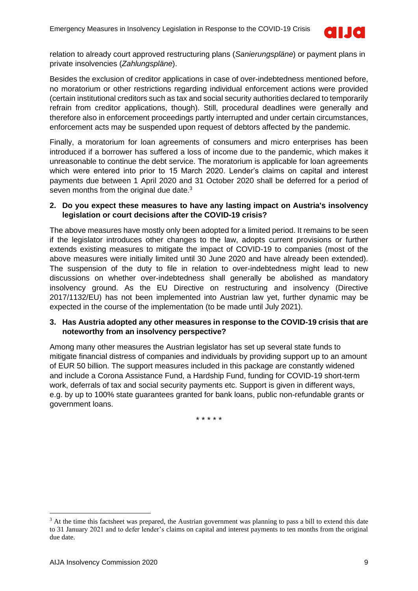

relation to already court approved restructuring plans (*Sanierungspläne*) or payment plans in private insolvencies (*Zahlungspläne*).

Besides the exclusion of creditor applications in case of over-indebtedness mentioned before, no moratorium or other restrictions regarding individual enforcement actions were provided (certain institutional creditors such as tax and social security authorities declared to temporarily refrain from creditor applications, though). Still, procedural deadlines were generally and therefore also in enforcement proceedings partly interrupted and under certain circumstances, enforcement acts may be suspended upon request of debtors affected by the pandemic.

Finally, a moratorium for loan agreements of consumers and micro enterprises has been introduced if a borrower has suffered a loss of income due to the pandemic, which makes it unreasonable to continue the debt service. The moratorium is applicable for loan agreements which were entered into prior to 15 March 2020. Lender's claims on capital and interest payments due between 1 April 2020 and 31 October 2020 shall be deferred for a period of seven months from the original due date.<sup>3</sup>

### **2. Do you expect these measures to have any lasting impact on Austria's insolvency legislation or court decisions after the COVID-19 crisis?**

The above measures have mostly only been adopted for a limited period. It remains to be seen if the legislator introduces other changes to the law, adopts current provisions or further extends existing measures to mitigate the impact of COVID-19 to companies (most of the above measures were initially limited until 30 June 2020 and have already been extended). The suspension of the duty to file in relation to over-indebtedness might lead to new discussions on whether over-indebtedness shall generally be abolished as mandatory insolvency ground. As the EU Directive on restructuring and insolvency (Directive 2017/1132/EU) has not been implemented into Austrian law yet, further dynamic may be expected in the course of the implementation (to be made until July 2021).

### **3. Has Austria adopted any other measures in response to the COVID-19 crisis that are noteworthy from an insolvency perspective?**

Among many other measures the Austrian legislator has set up several state funds to mitigate financial distress of companies and individuals by providing support up to an amount of EUR 50 billion. The support measures included in this package are constantly widened and include a Corona Assistance Fund, a Hardship Fund, funding for COVID-19 short-term work, deferrals of tax and social security payments etc. Support is given in different ways, e.g. by up to 100% state guarantees granted for bank loans, public non-refundable grants or government loans.

<sup>&</sup>lt;sup>3</sup> At the time this factsheet was prepared, the Austrian government was planning to pass a bill to extend this date to 31 January 2021 and to defer lender's claims on capital and interest payments to ten months from the original due date.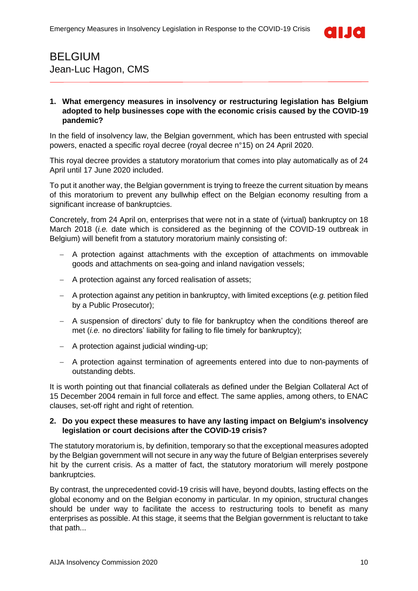

### <span id="page-9-0"></span>BELGIUM Jean-Luc Hagon, CMS

### **1. What emergency measures in insolvency or restructuring legislation has Belgium adopted to help businesses cope with the economic crisis caused by the COVID-19 pandemic?**

In the field of insolvency law, the Belgian government, which has been entrusted with special powers, enacted a specific royal decree (royal decree n°15) on 24 April 2020.

This royal decree provides a statutory moratorium that comes into play automatically as of 24 April until 17 June 2020 included.

To put it another way, the Belgian government is trying to freeze the current situation by means of this moratorium to prevent any bullwhip effect on the Belgian economy resulting from a significant increase of bankruptcies.

Concretely, from 24 April on, enterprises that were not in a state of (virtual) bankruptcy on 18 March 2018 (*i.e.* date which is considered as the beginning of the COVID-19 outbreak in Belgium) will benefit from a statutory moratorium mainly consisting of:

- − A protection against attachments with the exception of attachments on immovable goods and attachments on sea-going and inland navigation vessels;
- − A protection against any forced realisation of assets;
- − A protection against any petition in bankruptcy, with limited exceptions (*e.g.* petition filed by a Public Prosecutor);
- − A suspension of directors' duty to file for bankruptcy when the conditions thereof are met (*i.e.* no directors' liability for failing to file timely for bankruptcy);
- − A protection against judicial winding-up;
- − A protection against termination of agreements entered into due to non-payments of outstanding debts.

It is worth pointing out that financial collaterals as defined under the Belgian Collateral Act of 15 December 2004 remain in full force and effect. The same applies, among others, to ENAC clauses, set-off right and right of retention.

### **2. Do you expect these measures to have any lasting impact on Belgium's insolvency legislation or court decisions after the COVID-19 crisis?**

The statutory moratorium is, by definition, temporary so that the exceptional measures adopted by the Belgian government will not secure in any way the future of Belgian enterprises severely hit by the current crisis. As a matter of fact, the statutory moratorium will merely postpone bankruptcies.

By contrast, the unprecedented covid-19 crisis will have, beyond doubts, lasting effects on the global economy and on the Belgian economy in particular. In my opinion, structural changes should be under way to facilitate the access to restructuring tools to benefit as many enterprises as possible. At this stage, it seems that the Belgian government is reluctant to take that path...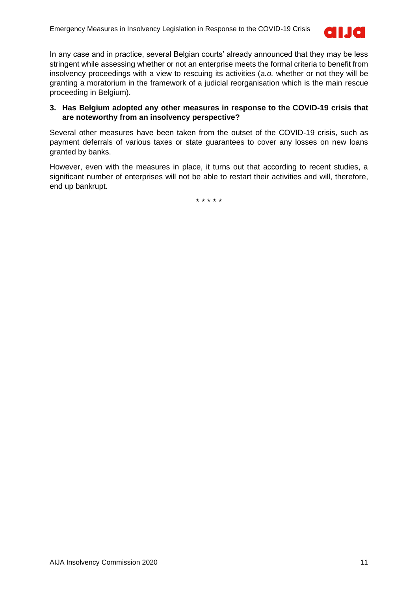

In any case and in practice, several Belgian courts' already announced that they may be less stringent while assessing whether or not an enterprise meets the formal criteria to benefit from insolvency proceedings with a view to rescuing its activities (*a.o.* whether or not they will be granting a moratorium in the framework of a judicial reorganisation which is the main rescue proceeding in Belgium).

### **3. Has Belgium adopted any other measures in response to the COVID-19 crisis that are noteworthy from an insolvency perspective?**

Several other measures have been taken from the outset of the COVID-19 crisis, such as payment deferrals of various taxes or state guarantees to cover any losses on new loans granted by banks.

However, even with the measures in place, it turns out that according to recent studies, a significant number of enterprises will not be able to restart their activities and will, therefore, end up bankrupt.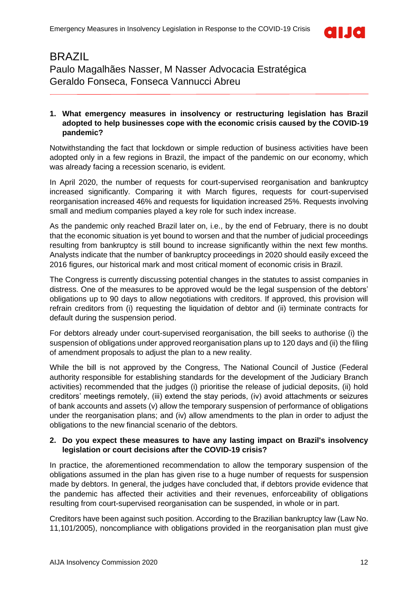

### <span id="page-11-0"></span>BRAZIL Paulo Magalhães Nasser, M Nasser Advocacia Estratégica Geraldo Fonseca, Fonseca Vannucci Abreu

### **1. What emergency measures in insolvency or restructuring legislation has Brazil adopted to help businesses cope with the economic crisis caused by the COVID-19 pandemic?**

Notwithstanding the fact that lockdown or simple reduction of business activities have been adopted only in a few regions in Brazil, the impact of the pandemic on our economy, which was already facing a recession scenario, is evident.

In April 2020, the number of requests for court-supervised reorganisation and bankruptcy increased significantly. Comparing it with March figures, requests for court-supervised reorganisation increased 46% and requests for liquidation increased 25%. Requests involving small and medium companies played a key role for such index increase.

As the pandemic only reached Brazil later on, i.e., by the end of February, there is no doubt that the economic situation is yet bound to worsen and that the number of judicial proceedings resulting from bankruptcy is still bound to increase significantly within the next few months. Analysts indicate that the number of bankruptcy proceedings in 2020 should easily exceed the 2016 figures, our historical mark and most critical moment of economic crisis in Brazil.

The Congress is currently discussing potential changes in the statutes to assist companies in distress. One of the measures to be approved would be the legal suspension of the debtors' obligations up to 90 days to allow negotiations with creditors. If approved, this provision will refrain creditors from (i) requesting the liquidation of debtor and (ii) terminate contracts for default during the suspension period.

For debtors already under court-supervised reorganisation, the bill seeks to authorise (i) the suspension of obligations under approved reorganisation plans up to 120 days and (ii) the filing of amendment proposals to adjust the plan to a new reality.

While the bill is not approved by the Congress, The National Council of Justice (Federal authority responsible for establishing standards for the development of the Judiciary Branch activities) recommended that the judges (i) prioritise the release of judicial deposits, (ii) hold creditors' meetings remotely, (iii) extend the stay periods, (iv) avoid attachments or seizures of bank accounts and assets (v) allow the temporary suspension of performance of obligations under the reorganisation plans; and (iv) allow amendments to the plan in order to adjust the obligations to the new financial scenario of the debtors.

### **2. Do you expect these measures to have any lasting impact on Brazil's insolvency legislation or court decisions after the COVID-19 crisis?**

In practice, the aforementioned recommendation to allow the temporary suspension of the obligations assumed in the plan has given rise to a huge number of requests for suspension made by debtors. In general, the judges have concluded that, if debtors provide evidence that the pandemic has affected their activities and their revenues, enforceability of obligations resulting from court-supervised reorganisation can be suspended, in whole or in part.

Creditors have been against such position. According to the Brazilian bankruptcy law (Law No. 11,101/2005), noncompliance with obligations provided in the reorganisation plan must give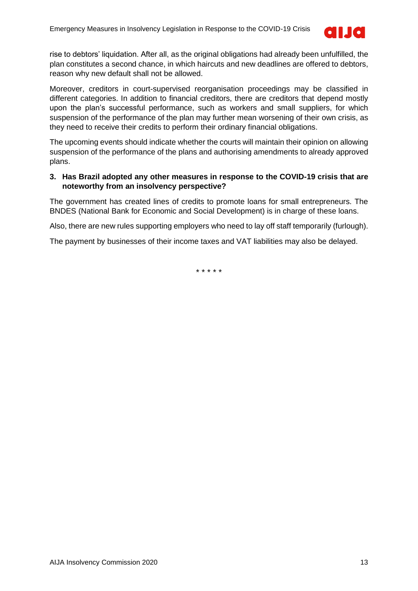

rise to debtors' liquidation. After all, as the original obligations had already been unfulfilled, the plan constitutes a second chance, in which haircuts and new deadlines are offered to debtors, reason why new default shall not be allowed.

Moreover, creditors in court-supervised reorganisation proceedings may be classified in different categories. In addition to financial creditors, there are creditors that depend mostly upon the plan's successful performance, such as workers and small suppliers, for which suspension of the performance of the plan may further mean worsening of their own crisis, as they need to receive their credits to perform their ordinary financial obligations.

The upcoming events should indicate whether the courts will maintain their opinion on allowing suspension of the performance of the plans and authorising amendments to already approved plans.

### **3. Has Brazil adopted any other measures in response to the COVID-19 crisis that are noteworthy from an insolvency perspective?**

The government has created lines of credits to promote loans for small entrepreneurs. The BNDES (National Bank for Economic and Social Development) is in charge of these loans.

Also, there are new rules supporting employers who need to lay off staff temporarily (furlough).

The payment by businesses of their income taxes and VAT liabilities may also be delayed.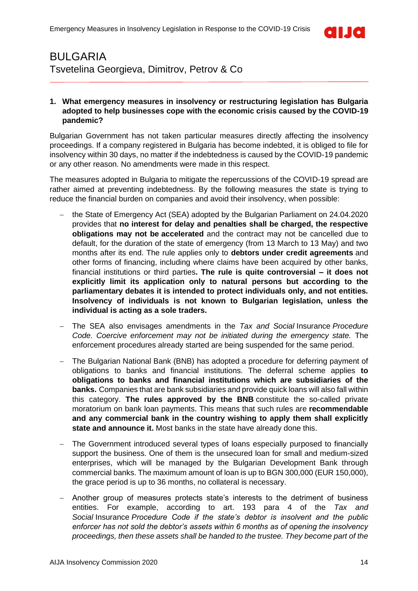

### <span id="page-13-0"></span>BULGARIA Tsvetelina Georgieva, Dimitrov, Petrov & Co

### **1. What emergency measures in insolvency or restructuring legislation has Bulgaria adopted to help businesses cope with the economic crisis caused by the COVID-19 pandemic?**

Bulgarian Government has not taken particular measures directly affecting the insolvency proceedings. If a company registered in Bulgaria has become indebted, it is obliged to file for insolvency within 30 days, no matter if the indebtedness is caused by the COVID-19 pandemic or any other reason. No amendments were made in this respect.

The measures adopted in Bulgaria to mitigate the repercussions of the COVID-19 spread are rather aimed at preventing indebtedness. By the following measures the state is trying to reduce the financial burden on companies and avoid their insolvency, when possible:

- − the State of Emergency Act (SEA) adopted by the Bulgarian Parliament on 24.04.2020 provides that **no interest for delay and penalties shall be charged, the respective obligations may not be accelerated** and the contract may not be cancelled due to default, for the duration of the state of emergency (from 13 March to 13 May) and two months after its end. The rule applies only to **debtors under credit agreements** and other forms of financing, including where claims have been acquired by other banks, financial institutions or third parties**. The rule is quite controversial – it does not explicitly limit its application only to natural persons but according to the parliamentary debates it is intended to protect individuals only, and not entities. Insolvency of individuals is not known to Bulgarian legislation, unless the individual is acting as a sole traders.**
- − The SEA also envisages amendments in the *Tax and Social* Insurance *Procedure Code. Coercive enforcement may not be initiated during the emergency state.* The enforcement procedures already started are being suspended for the same period.
- The Bulgarian National Bank (BNB) has adopted a procedure for deferring payment of obligations to banks and financial institutions. The deferral scheme applies **to obligations to banks and financial institutions which are subsidiaries of the banks.** Companies that are bank subsidiaries and provide quick loans will also fall within this category. **The rules approved by the BNB** constitute the so-called private moratorium on bank loan payments. This means that such rules are **recommendable and any commercial bank in the country wishing to apply them shall explicitly state and announce it.** Most banks in the state have already done this.
- The Government introduced several types of loans especially purposed to financially support the business. One of them is the unsecured loan for small and medium-sized enterprises, which will be managed by the Bulgarian Development Bank through commercial banks. The maximum amount of loan is up to BGN 300,000 (EUR 150,000), the grace period is up to 36 months, no collateral is necessary.
- − Another group of measures protects state's interests to the detriment of business entities. For example, according to art. 193 para 4 of the *Tax and Social* Insurance *Procedure Code if the state's debtor is insolvent and the public enforcer has not sold the debtor's assets within 6 months as of opening the insolvency proceedings, then these assets shall be handed to the trustee. They become part of the*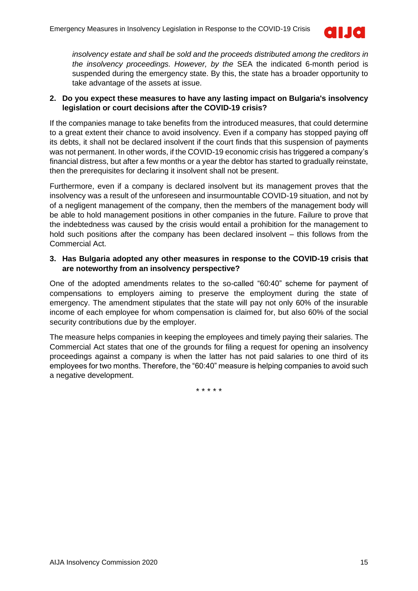

*insolvency estate and shall be sold and the proceeds distributed among the creditors in the insolvency proceedings. However, by the* SEA the indicated 6-month period is suspended during the emergency state. By this, the state has a broader opportunity to take advantage of the assets at issue.

### **2. Do you expect these measures to have any lasting impact on Bulgaria's insolvency legislation or court decisions after the COVID-19 crisis?**

If the companies manage to take benefits from the introduced measures, that could determine to a great extent their chance to avoid insolvency. Even if a company has stopped paying off its debts, it shall not be declared insolvent if the court finds that this suspension of payments was not permanent. In other words, if the COVID-19 economic crisis has triggered a company's financial distress, but after a few months or a year the debtor has started to gradually reinstate, then the prerequisites for declaring it insolvent shall not be present.

Furthermore, even if a company is declared insolvent but its management proves that the insolvency was a result of the unforeseen and insurmountable COVID-19 situation, and not by of a negligent management of the company, then the members of the management body will be able to hold management positions in other companies in the future. Failure to prove that the indebtedness was caused by the crisis would entail a prohibition for the management to hold such positions after the company has been declared insolvent – this follows from the Commercial Act.

### **3. Has Bulgaria adopted any other measures in response to the COVID-19 crisis that are noteworthy from an insolvency perspective?**

One of the adopted amendments relates to the so-called "60:40" scheme for payment of compensations to employers aiming to preserve the employment during the state of emergency. The amendment stipulates that the state will pay not only 60% of the insurable income of each employee for whom compensation is claimed for, but also 60% of the social security contributions due by the employer.

The measure helps companies in keeping the employees and timely paying their salaries. The Commercial Act states that one of the grounds for filing a request for opening an insolvency proceedings against a company is when the latter has not paid salaries to one third of its employees for two months. Therefore, the "60:40" measure is helping companies to avoid such a negative development.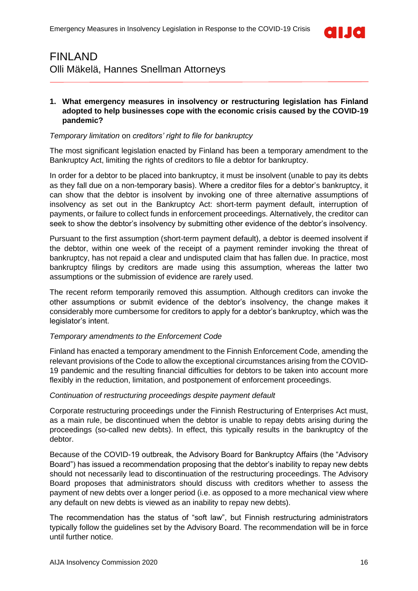

### <span id="page-15-0"></span>FINLAND Olli Mäkelä, Hannes Snellman Attorneys

### **1. What emergency measures in insolvency or restructuring legislation has Finland adopted to help businesses cope with the economic crisis caused by the COVID-19 pandemic?**

### *Temporary limitation* on *creditors' right to file for bankruptcy*

The most significant legislation enacted by Finland has been a temporary amendment to the Bankruptcy Act, limiting the rights of creditors to file a debtor for bankruptcy.

In order for a debtor to be placed into bankruptcy, it must be insolvent (unable to pay its debts as they fall due on a non-temporary basis). Where a creditor files for a debtor's bankruptcy, it can show that the debtor is insolvent by invoking one of three alternative assumptions of insolvency as set out in the Bankruptcy Act: short-term payment default, interruption of payments, or failure to collect funds in enforcement proceedings. Alternatively, the creditor can seek to show the debtor's insolvency by submitting other evidence of the debtor's insolvency.

Pursuant to the first assumption (short-term payment default), a debtor is deemed insolvent if the debtor, within one week of the receipt of a payment reminder invoking the threat of bankruptcy, has not repaid a clear and undisputed claim that has fallen due. In practice, most bankruptcy filings by creditors are made using this assumption, whereas the latter two assumptions or the submission of evidence are rarely used.

The recent reform temporarily removed this assumption. Although creditors can invoke the other assumptions or submit evidence of the debtor's insolvency, the change makes it considerably more cumbersome for creditors to apply for a debtor's bankruptcy, which was the legislator's intent.

### *Temporary amendments to the Enforcement Code*

Finland has enacted a temporary amendment to the Finnish Enforcement Code, amending the relevant provisions of the Code to allow the exceptional circumstances arising from the COVID-19 pandemic and the resulting financial difficulties for debtors to be taken into account more flexibly in the reduction, limitation, and postponement of enforcement proceedings.

#### *Continuation of restructuring proceedings despite payment default*

Corporate restructuring proceedings under the Finnish Restructuring of Enterprises Act must, as a main rule, be discontinued when the debtor is unable to repay debts arising during the proceedings (so-called new debts). In effect, this typically results in the bankruptcy of the debtor.

Because of the COVID-19 outbreak, the Advisory Board for Bankruptcy Affairs (the "Advisory Board") has issued a recommendation proposing that the debtor's inability to repay new debts should not necessarily lead to discontinuation of the restructuring proceedings. The Advisory Board proposes that administrators should discuss with creditors whether to assess the payment of new debts over a longer period (i.e. as opposed to a more mechanical view where any default on new debts is viewed as an inability to repay new debts).

The recommendation has the status of "soft law", but Finnish restructuring administrators typically follow the guidelines set by the Advisory Board. The recommendation will be in force until further notice.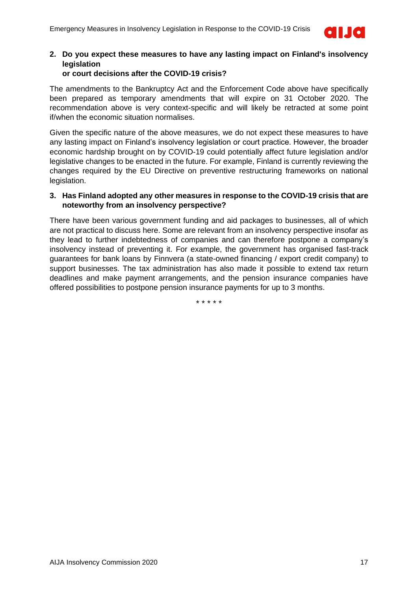

### **2. Do you expect these measures to have any lasting impact on Finland's insolvency legislation**

### **or court decisions after the COVID-19 crisis?**

The amendments to the Bankruptcy Act and the Enforcement Code above have specifically been prepared as temporary amendments that will expire on 31 October 2020. The recommendation above is very context-specific and will likely be retracted at some point if/when the economic situation normalises.

Given the specific nature of the above measures, we do not expect these measures to have any lasting impact on Finland's insolvency legislation or court practice. However, the broader economic hardship brought on by COVID-19 could potentially affect future legislation and/or legislative changes to be enacted in the future. For example, Finland is currently reviewing the changes required by the EU Directive on preventive restructuring frameworks on national legislation.

### **3. Has Finland adopted any other measures in response to the COVID-19 crisis that are noteworthy from an insolvency perspective?**

There have been various government funding and aid packages to businesses, all of which are not practical to discuss here. Some are relevant from an insolvency perspective insofar as they lead to further indebtedness of companies and can therefore postpone a company's insolvency instead of preventing it. For example, the government has organised fast-track guarantees for bank loans by Finnvera (a state-owned financing / export credit company) to support businesses. The tax administration has also made it possible to extend tax return deadlines and make payment arrangements, and the pension insurance companies have offered possibilities to postpone pension insurance payments for up to 3 months.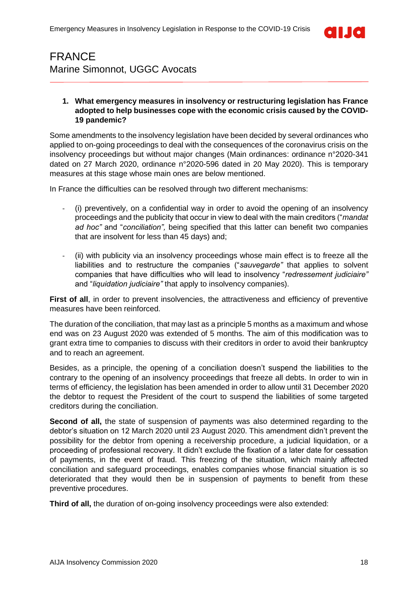

# <span id="page-17-0"></span>FRANCE Marine Simonnot, UGGC Avocats

### **1. What emergency measures in insolvency or restructuring legislation has France adopted to help businesses cope with the economic crisis caused by the COVID-19 pandemic?**

Some amendments to the insolvency legislation have been decided by several ordinances who applied to on-going proceedings to deal with the consequences of the coronavirus crisis on the insolvency proceedings but without major changes (Main ordinances: ordinance n°2020-341 dated on 27 March 2020, ordinance n°2020-596 dated in 20 May 2020). This is temporary measures at this stage whose main ones are below mentioned.

In France the difficulties can be resolved through two different mechanisms:

- (i) preventively, on a confidential way in order to avoid the opening of an insolvency proceedings and the publicity that occur in view to deal with the main creditors ("*mandat ad hoc"* and "*conciliation",* being specified that this latter can benefit two companies that are insolvent for less than 45 days) and;
- (ii) with publicity via an insolvency proceedings whose main effect is to freeze all the liabilities and to restructure the companies ("*sauvegarde"* that applies to solvent companies that have difficulties who will lead to insolvency "*redressement judiciaire"* and "*liquidation judiciaire"* that apply to insolvency companies).

**First of all,** in order to prevent insolvencies, the attractiveness and efficiency of preventive measures have been reinforced.

The duration of the conciliation, that may last as a principle 5 months as a maximum and whose end was on 23 August 2020 was extended of 5 months. The aim of this modification was to grant extra time to companies to discuss with their creditors in order to avoid their bankruptcy and to reach an agreement.

Besides, as a principle, the opening of a conciliation doesn't suspend the liabilities to the contrary to the opening of an insolvency proceedings that freeze all debts. In order to win in terms of efficiency, the legislation has been amended in order to allow until 31 December 2020 the debtor to request the President of the court to suspend the liabilities of some targeted creditors during the conciliation.

**Second of all,** the state of suspension of payments was also determined regarding to the debtor's situation on 12 March 2020 until 23 August 2020. This amendment didn't prevent the possibility for the debtor from opening a receivership procedure, a judicial liquidation, or a proceeding of professional recovery. It didn't exclude the fixation of a later date for cessation of payments, in the event of fraud. This freezing of the situation, which mainly affected conciliation and safeguard proceedings, enables companies whose financial situation is so deteriorated that they would then be in suspension of payments to benefit from these preventive procedures.

**Third of all,** the duration of on-going insolvency proceedings were also extended: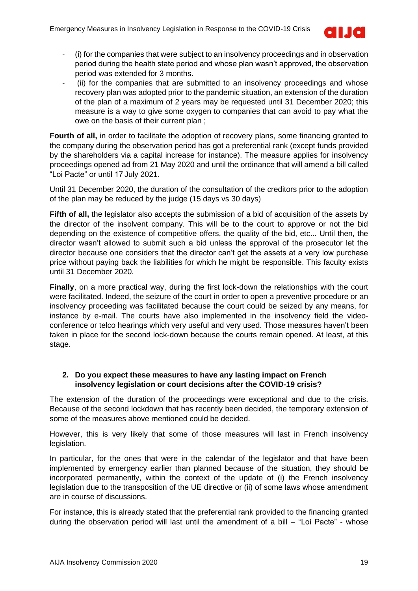

- (i) for the companies that were subject to an insolvency proceedings and in observation period during the health state period and whose plan wasn't approved, the observation period was extended for 3 months.
- (ii) for the companies that are submitted to an insolvency proceedings and whose recovery plan was adopted prior to the pandemic situation, an extension of the duration of the plan of a maximum of 2 years may be requested until 31 December 2020; this measure is a way to give some oxygen to companies that can avoid to pay what the owe on the basis of their current plan ;

**Fourth of all,** in order to facilitate the adoption of recovery plans, some financing granted to the company during the observation period has got a preferential rank (except funds provided by the shareholders via a capital increase for instance). The measure applies for insolvency proceedings opened ad from 21 May 2020 and until the ordinance that will amend a bill called "Loi Pacte" or until 17 July 2021.

Until 31 December 2020, the duration of the consultation of the creditors prior to the adoption of the plan may be reduced by the judge (15 days vs 30 days)

Fifth of all, the legislator also accepts the submission of a bid of acquisition of the assets by the director of the insolvent company. This will be to the court to approve or not the bid depending on the existence of competitive offers, the quality of the bid, etc... Until then, the director wasn't allowed to submit such a bid unless the approval of the prosecutor let the director because one considers that the director can't get the assets at a very low purchase price without paying back the liabilities for which he might be responsible. This faculty exists until 31 December 2020.

**Finally**, on a more practical way, during the first lock-down the relationships with the court were facilitated. Indeed, the seizure of the court in order to open a preventive procedure or an insolvency proceeding was facilitated because the court could be seized by any means, for instance by e-mail. The courts have also implemented in the insolvency field the videoconference or telco hearings which very useful and very used. Those measures haven't been taken in place for the second lock-down because the courts remain opened. At least, at this stage.

### **2. Do you expect these measures to have any lasting impact on French insolvency legislation or court decisions after the COVID-19 crisis?**

The extension of the duration of the proceedings were exceptional and due to the crisis. Because of the second lockdown that has recently been decided, the temporary extension of some of the measures above mentioned could be decided.

However, this is very likely that some of those measures will last in French insolvency legislation.

In particular, for the ones that were in the calendar of the legislator and that have been implemented by emergency earlier than planned because of the situation, they should be incorporated permanently, within the context of the update of (i) the French insolvency legislation due to the transposition of the UE directive or (ii) of some laws whose amendment are in course of discussions.

For instance, this is already stated that the preferential rank provided to the financing granted during the observation period will last until the amendment of a bill – "Loi Pacte" - whose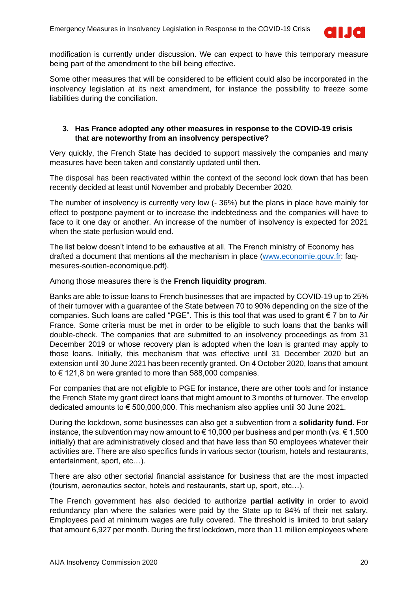

modification is currently under discussion. We can expect to have this temporary measure being part of the amendment to the bill being effective.

Some other measures that will be considered to be efficient could also be incorporated in the insolvency legislation at its next amendment, for instance the possibility to freeze some liabilities during the conciliation.

### **3. Has France adopted any other measures in response to the COVID-19 crisis that are noteworthy from an insolvency perspective?**

Very quickly, the French State has decided to support massively the companies and many measures have been taken and constantly updated until then.

The disposal has been reactivated within the context of the second lock down that has been recently decided at least until November and probably December 2020.

The number of insolvency is currently very low (- 36%) but the plans in place have mainly for effect to postpone payment or to increase the indebtedness and the companies will have to face to it one day or another. An increase of the number of insolvency is expected for 2021 when the state perfusion would end.

The list below doesn't intend to be exhaustive at all. The French ministry of Economy has drafted a document that mentions all the mechanism in place [\(www.economie.gouv.fr:](http://www.economie.gouv.fr/) faqmesures-soutien-economique.pdf).

Among those measures there is the **French liquidity program**.

Banks are able to issue loans to French businesses that are impacted by COVID-19 up to 25% of their turnover with a guarantee of the State between 70 to 90% depending on the size of the companies. Such loans are called "PGE". This is this tool that was used to grant € 7 bn to Air France. Some criteria must be met in order to be eligible to such loans that the banks will double-check. The companies that are submitted to an insolvency proceedings as from 31 December 2019 or whose recovery plan is adopted when the loan is granted may apply to those loans. Initially, this mechanism that was effective until 31 December 2020 but an extension until 30 June 2021 has been recently granted. On 4 October 2020, loans that amount to € 121,8 bn were granted to more than 588,000 companies.

For companies that are not eligible to PGE for instance, there are other tools and for instance the French State my grant direct loans that might amount to 3 months of turnover. The envelop dedicated amounts to € 500,000,000. This mechanism also applies until 30 June 2021.

During the lockdown, some businesses can also get a subvention from a **solidarity fund**. For instance, the subvention may now amount to  $\epsilon$  10,000 per business and per month (vs.  $\epsilon$  1,500 initially) that are administratively closed and that have less than 50 employees whatever their activities are. There are also specifics funds in various sector (tourism, hotels and restaurants, entertainment, sport, etc…).

There are also other sectorial financial assistance for business that are the most impacted (tourism, aeronautics sector, hotels and restaurants, start up, sport, etc…).

The French government has also decided to authorize **partial activity** in order to avoid redundancy plan where the salaries were paid by the State up to 84% of their net salary. Employees paid at minimum wages are fully covered. The threshold is limited to brut salary that amount 6,927 per month. During the first lockdown, more than 11 million employees where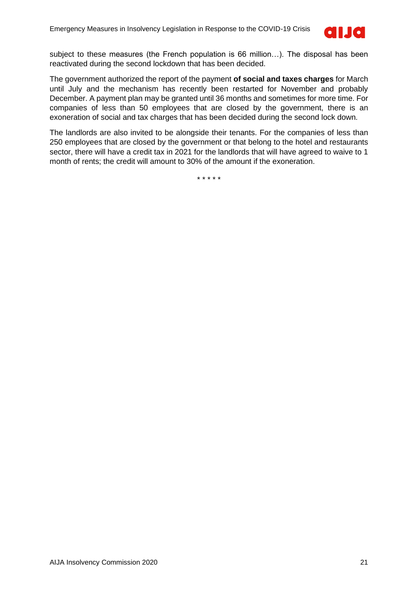

subject to these measures (the French population is 66 million…). The disposal has been reactivated during the second lockdown that has been decided.

The government authorized the report of the payment **of social and taxes charges** for March until July and the mechanism has recently been restarted for November and probably December. A payment plan may be granted until 36 months and sometimes for more time. For companies of less than 50 employees that are closed by the government, there is an exoneration of social and tax charges that has been decided during the second lock down.

The landlords are also invited to be alongside their tenants. For the companies of less than 250 employees that are closed by the government or that belong to the hotel and restaurants sector, there will have a credit tax in 2021 for the landlords that will have agreed to waive to 1 month of rents; the credit will amount to 30% of the amount if the exoneration.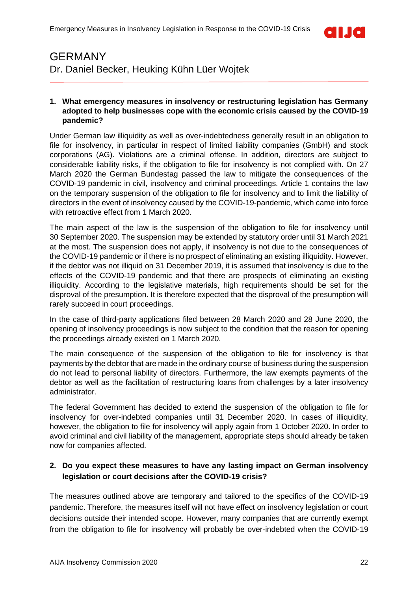

### <span id="page-21-0"></span>GERMANY Dr. Daniel Becker, Heuking Kühn Lüer Wojtek

### **1. What emergency measures in insolvency or restructuring legislation has Germany adopted to help businesses cope with the economic crisis caused by the COVID-19 pandemic?**

Under German law illiquidity as well as over-indebtedness generally result in an obligation to file for insolvency, in particular in respect of limited liability companies (GmbH) and stock corporations (AG). Violations are a criminal offense. In addition, directors are subject to considerable liability risks, if the obligation to file for insolvency is not complied with. On 27 March 2020 the German Bundestag passed the law to mitigate the consequences of the COVID-19 pandemic in civil, insolvency and criminal proceedings. Article 1 contains the law on the temporary suspension of the obligation to file for insolvency and to limit the liability of directors in the event of insolvency caused by the COVID-19-pandemic, which came into force with retroactive effect from 1 March 2020.

The main aspect of the law is the suspension of the obligation to file for insolvency until 30 September 2020. The suspension may be extended by statutory order until 31 March 2021 at the most. The suspension does not apply, if insolvency is not due to the consequences of the COVID-19 pandemic or if there is no prospect of eliminating an existing illiquidity. However, if the debtor was not illiquid on 31 December 2019, it is assumed that insolvency is due to the effects of the COVID-19 pandemic and that there are prospects of eliminating an existing illiquidity. According to the legislative materials, high requirements should be set for the disproval of the presumption. It is therefore expected that the disproval of the presumption will rarely succeed in court proceedings.

In the case of third-party applications filed between 28 March 2020 and 28 June 2020, the opening of insolvency proceedings is now subject to the condition that the reason for opening the proceedings already existed on 1 March 2020.

The main consequence of the suspension of the obligation to file for insolvency is that payments by the debtor that are made in the ordinary course of business during the suspension do not lead to personal liability of directors. Furthermore, the law exempts payments of the debtor as well as the facilitation of restructuring loans from challenges by a later insolvency administrator.

The federal Government has decided to extend the suspension of the obligation to file for insolvency for over-indebted companies until 31 December 2020. In cases of illiquidity, however, the obligation to file for insolvency will apply again from 1 October 2020. In order to avoid criminal and civil liability of the management, appropriate steps should already be taken now for companies affected.

### **2. Do you expect these measures to have any lasting impact on German insolvency legislation or court decisions after the COVID-19 crisis?**

The measures outlined above are temporary and tailored to the specifics of the COVID-19 pandemic. Therefore, the measures itself will not have effect on insolvency legislation or court decisions outside their intended scope. However, many companies that are currently exempt from the obligation to file for insolvency will probably be over-indebted when the COVID-19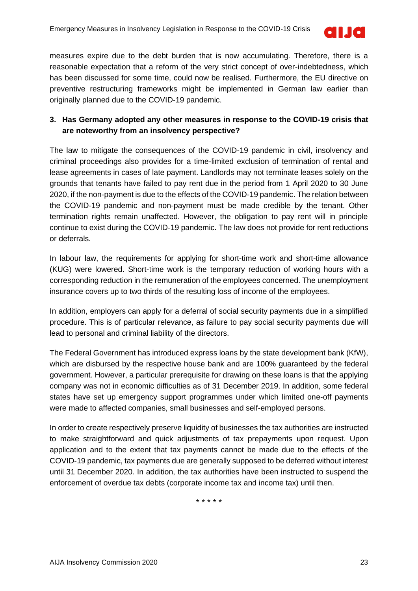

measures expire due to the debt burden that is now accumulating. Therefore, there is a reasonable expectation that a reform of the very strict concept of over-indebtedness, which has been discussed for some time, could now be realised. Furthermore, the EU directive on preventive restructuring frameworks might be implemented in German law earlier than originally planned due to the COVID-19 pandemic.

### **3. Has Germany adopted any other measures in response to the COVID-19 crisis that are noteworthy from an insolvency perspective?**

The law to mitigate the consequences of the COVID-19 pandemic in civil, insolvency and criminal proceedings also provides for a time-limited exclusion of termination of rental and lease agreements in cases of late payment. Landlords may not terminate leases solely on the grounds that tenants have failed to pay rent due in the period from 1 April 2020 to 30 June 2020, if the non-payment is due to the effects of the COVID-19 pandemic. The relation between the COVID-19 pandemic and non-payment must be made credible by the tenant. Other termination rights remain unaffected. However, the obligation to pay rent will in principle continue to exist during the COVID-19 pandemic. The law does not provide for rent reductions or deferrals.

In labour law, the requirements for applying for short-time work and short-time allowance (KUG) were lowered. Short-time work is the temporary reduction of working hours with a corresponding reduction in the remuneration of the employees concerned. The unemployment insurance covers up to two thirds of the resulting loss of income of the employees.

In addition, employers can apply for a deferral of social security payments due in a simplified procedure. This is of particular relevance, as failure to pay social security payments due will lead to personal and criminal liability of the directors.

The Federal Government has introduced express loans by the state development bank (KfW), which are disbursed by the respective house bank and are 100% guaranteed by the federal government. However, a particular prerequisite for drawing on these loans is that the applying company was not in economic difficulties as of 31 December 2019. In addition, some federal states have set up emergency support programmes under which limited one-off payments were made to affected companies, small businesses and self-employed persons.

In order to create respectively preserve liquidity of businesses the tax authorities are instructed to make straightforward and quick adjustments of tax prepayments upon request. Upon application and to the extent that tax payments cannot be made due to the effects of the COVID-19 pandemic, tax payments due are generally supposed to be deferred without interest until 31 December 2020. In addition, the tax authorities have been instructed to suspend the enforcement of overdue tax debts (corporate income tax and income tax) until then.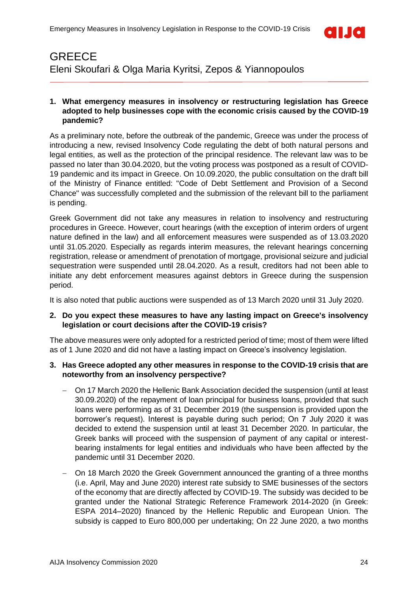

## <span id="page-23-0"></span>**GREECE** Eleni Skoufari & Olga Maria Kyritsi, Zepos & Yiannopoulos

### **1. What emergency measures in insolvency or restructuring legislation has Greece adopted to help businesses cope with the economic crisis caused by the COVID-19 pandemic?**

As a preliminary note, before the outbreak of the pandemic, Greece was under the process of introducing a new, revised Insolvency Code regulating the debt of both natural persons and legal entities, as well as the protection of the principal residence. The relevant law was to be passed no later than 30.04.2020, but the voting process was postponed as a result of COVID-19 pandemic and its impact in Greece. On 10.09.2020, the public consultation on the draft bill of the Ministry of Finance entitled: "Code of Debt Settlement and Provision of a Second Chance" was successfully completed and the submission of the relevant bill to the parliament is pending.

Greek Government did not take any measures in relation to insolvency and restructuring procedures in Greece. However, court hearings (with the exception of interim orders of urgent nature defined in the law) and all enforcement measures were suspended as of 13.03.2020 until 31.05.2020. Especially as regards interim measures, the relevant hearings concerning registration, release or amendment of prenotation of mortgage, provisional seizure and judicial sequestration were suspended until 28.04.2020. As a result, creditors had not been able to initiate any debt enforcement measures against debtors in Greece during the suspension period.

It is also noted that public auctions were suspended as of 13 March 2020 until 31 July 2020.

### **2. Do you expect these measures to have any lasting impact on Greece's insolvency legislation or court decisions after the COVID-19 crisis?**

The above measures were only adopted for a restricted period of time; most of them were lifted as of 1 June 2020 and did not have a lasting impact on Greece's insolvency legislation.

### **3. Has Greece adopted any other measures in response to the COVID-19 crisis that are noteworthy from an insolvency perspective?**

- − On 17 March 2020 the Hellenic Bank Association decided the suspension (until at least 30.09.2020) of the repayment of loan principal for business loans, provided that such loans were performing as of 31 December 2019 (the suspension is provided upon the borrower's request). Interest is payable during such period; On 7 July 2020 it was decided to extend the suspension until at least 31 December 2020. In particular, the Greek banks will proceed with the suspension of payment of any capital or interestbearing instalments for legal entities and individuals who have been affected by the pandemic until 31 December 2020.
- On 18 March 2020 the Greek Government announced the granting of a three months (i.e. April, May and June 2020) interest rate subsidy to SME businesses of the sectors of the economy that are directly affected by COVID-19. The subsidy was decided to be granted under the National Strategic Reference Framework 2014-2020 (in Greek: ESPA 2014–2020) financed by the Hellenic Republic and European Union. The subsidy is capped to Euro 800,000 per undertaking; On 22 June 2020, a two months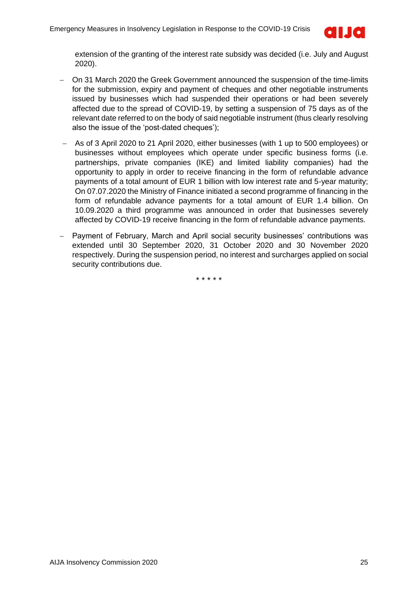

extension of the granting of the interest rate subsidy was decided (i.e. July and August 2020).

- − On 31 March 2020 the Greek Government announced the suspension of the time-limits for the submission, expiry and payment of cheques and other negotiable instruments issued by businesses which had suspended their operations or had been severely affected due to the spread of COVID-19, by setting a suspension of 75 days as of the relevant date referred to on the body of said negotiable instrument (thus clearly resolving also the issue of the 'post-dated cheques');
- − As of 3 April 2020 to 21 April 2020, either businesses (with 1 up to 500 employees) or businesses without employees which operate under specific business forms (i.e. partnerships, private companies (IKE) and limited liability companies) had the opportunity to apply in order to receive financing in the form of refundable advance payments of a total amount of EUR 1 billion with low interest rate and 5-year maturity; Οn 07.07.2020 the Ministry of Finance initiated a second programme of financing in the form of refundable advance payments for a total amount of EUR 1.4 billion. On 10.09.2020 a third programme was announced in order that businesses severely affected by COVID-19 receive financing in the form of refundable advance payments.
- − Payment of February, March and April social security businesses' contributions was extended until 30 September 2020, 31 October 2020 and 30 November 2020 respectively. During the suspension period, no interest and surcharges applied on social security contributions due.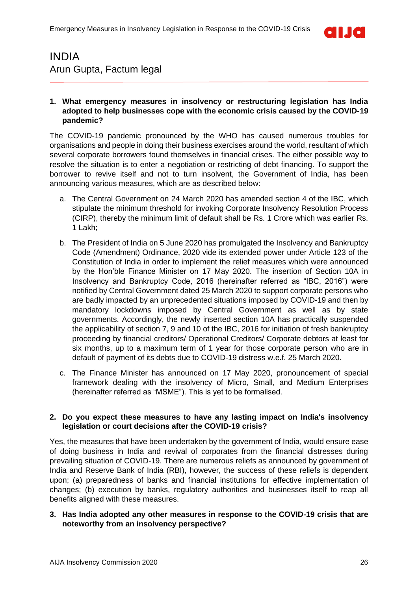

### <span id="page-25-0"></span>INDIA Arun Gupta, Factum legal

### **1. What emergency measures in insolvency or restructuring legislation has India adopted to help businesses cope with the economic crisis caused by the COVID-19 pandemic?**

The COVID-19 pandemic pronounced by the WHO has caused numerous troubles for organisations and people in doing their business exercises around the world, resultant of which several corporate borrowers found themselves in financial crises. The either possible way to resolve the situation is to enter a negotiation or restricting of debt financing. To support the borrower to revive itself and not to turn insolvent, the Government of India, has been announcing various measures, which are as described below:

- a. The Central Government on 24 March 2020 has amended section 4 of the IBC, which stipulate the minimum threshold for invoking Corporate Insolvency Resolution Process (CIRP), thereby the minimum limit of default shall be Rs. 1 Crore which was earlier Rs. 1 Lakh;
- b. The President of India on 5 June 2020 has promulgated the Insolvency and Bankruptcy Code (Amendment) Ordinance, 2020 vide its extended power under Article 123 of the Constitution of India in order to implement the relief measures which were announced by the Hon'ble Finance Minister on 17 May 2020. The insertion of Section 10A in Insolvency and Bankruptcy Code, 2016 (hereinafter referred as "IBC, 2016") were notified by Central Government dated 25 March 2020 to support corporate persons who are badly impacted by an unprecedented situations imposed by COVID-19 and then by mandatory lockdowns imposed by Central Government as well as by state governments. Accordingly, the newly inserted section 10A has practically suspended the applicability of section 7, 9 and 10 of the IBC, 2016 for initiation of fresh bankruptcy proceeding by financial creditors/ Operational Creditors/ Corporate debtors at least for six months, up to a maximum term of 1 year for those corporate person who are in default of payment of its debts due to COVID-19 distress w.e.f. 25 March 2020.
- c. The Finance Minister has announced on 17 May 2020, pronouncement of special framework dealing with the insolvency of Micro, Small, and Medium Enterprises (hereinafter referred as "MSME"). This is yet to be formalised.

### **2. Do you expect these measures to have any lasting impact on India's insolvency legislation or court decisions after the COVID-19 crisis?**

Yes, the measures that have been undertaken by the government of India, would ensure ease of doing business in India and revival of corporates from the financial distresses during prevailing situation of COVID-19. There are numerous reliefs as announced by government of India and Reserve Bank of India (RBI), however, the success of these reliefs is dependent upon; (a) preparedness of banks and financial institutions for effective implementation of changes; (b) execution by banks, regulatory authorities and businesses itself to reap all benefits aligned with these measures.

### **3. Has India adopted any other measures in response to the COVID-19 crisis that are noteworthy from an insolvency perspective?**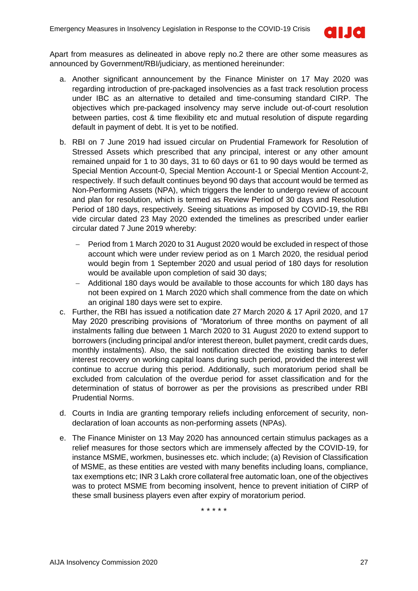

Apart from measures as delineated in above reply no.2 there are other some measures as announced by Government/RBI/judiciary, as mentioned hereinunder:

- a. Another significant announcement by the Finance Minister on 17 May 2020 was regarding introduction of pre-packaged insolvencies as a fast track resolution process under IBC as an alternative to detailed and time-consuming standard CIRP. The objectives which pre-packaged insolvency may serve include out-of-court resolution between parties, cost & time flexibility etc and mutual resolution of dispute regarding default in payment of debt. It is yet to be notified.
- b. RBI on 7 June 2019 had issued circular on Prudential Framework for Resolution of Stressed Assets which prescribed that any principal, interest or any other amount remained unpaid for 1 to 30 days, 31 to 60 days or 61 to 90 days would be termed as Special Mention Account-0, Special Mention Account-1 or Special Mention Account-2, respectively. If such default continues beyond 90 days that account would be termed as Non-Performing Assets (NPA), which triggers the lender to undergo review of account and plan for resolution, which is termed as Review Period of 30 days and Resolution Period of 180 days, respectively. Seeing situations as imposed by COVID-19, the RBI vide circular dated 23 May 2020 extended the timelines as prescribed under earlier circular dated 7 June 2019 whereby:
	- − Period from 1 March 2020 to 31 August 2020 would be excluded in respect of those account which were under review period as on 1 March 2020, the residual period would begin from 1 September 2020 and usual period of 180 days for resolution would be available upon completion of said 30 days;
	- − Additional 180 days would be available to those accounts for which 180 days has not been expired on 1 March 2020 which shall commence from the date on which an original 180 days were set to expire.
- c. Further, the RBI has issued a notification date 27 March 2020 & 17 April 2020, and 17 May 2020 prescribing provisions of "Moratorium of three months on payment of all instalments falling due between 1 March 2020 to 31 August 2020 to extend support to borrowers (including principal and/or interest thereon, bullet payment, credit cards dues, monthly instalments). Also, the said notification directed the existing banks to defer interest recovery on working capital loans during such period, provided the interest will continue to accrue during this period. Additionally, such moratorium period shall be excluded from calculation of the overdue period for asset classification and for the determination of status of borrower as per the provisions as prescribed under RBI Prudential Norms.
- d. Courts in India are granting temporary reliefs including enforcement of security, nondeclaration of loan accounts as non-performing assets (NPAs).
- e. The Finance Minister on 13 May 2020 has announced certain stimulus packages as a relief measures for those sectors which are immensely affected by the COVID-19, for instance MSME, workmen, businesses etc. which include; (a) Revision of Classification of MSME, as these entities are vested with many benefits including loans, compliance, tax exemptions etc; INR 3 Lakh crore collateral free automatic loan, one of the objectives was to protect MSME from becoming insolvent, hence to prevent initiation of CIRP of these small business players even after expiry of moratorium period.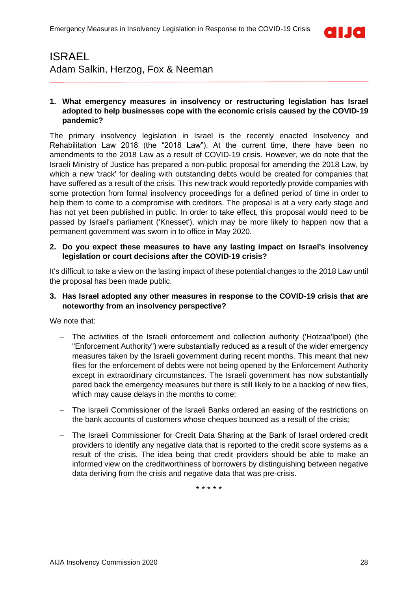

### <span id="page-27-0"></span>ISRAEL Adam Salkin, Herzog, Fox & Neeman

### **1. What emergency measures in insolvency or restructuring legislation has Israel adopted to help businesses cope with the economic crisis caused by the COVID-19 pandemic?**

The primary insolvency legislation in Israel is the recently enacted Insolvency and Rehabilitation Law 2018 (the "2018 Law"). At the current time, there have been no amendments to the 2018 Law as a result of COVID-19 crisis. However, we do note that the Israeli Ministry of Justice has prepared a non-public proposal for amending the 2018 Law, by which a new 'track' for dealing with outstanding debts would be created for companies that have suffered as a result of the crisis. This new track would reportedly provide companies with some protection from formal insolvency proceedings for a defined period of time in order to help them to come to a compromise with creditors. The proposal is at a very early stage and has not yet been published in public. In order to take effect, this proposal would need to be passed by Israel's parliament ('Knesset'), which may be more likely to happen now that a permanent government was sworn in to office in May 2020.

#### **2. Do you expect these measures to have any lasting impact on Israel's insolvency legislation or court decisions after the COVID-19 crisis?**

It's difficult to take a view on the lasting impact of these potential changes to the 2018 Law until the proposal has been made public.

### **3. Has Israel adopted any other measures in response to the COVID-19 crisis that are noteworthy from an insolvency perspective?**

We note that:

- The activities of the Israeli enforcement and collection authority ('Hotzaa'lpoel) (the "Enforcement Authority") were substantially reduced as a result of the wider emergency measures taken by the Israeli government during recent months. This meant that new files for the enforcement of debts were not being opened by the Enforcement Authority except in extraordinary circumstances. The Israeli government has now substantially pared back the emergency measures but there is still likely to be a backlog of new files, which may cause delays in the months to come;
- The Israeli Commissioner of the Israeli Banks ordered an easing of the restrictions on the bank accounts of customers whose cheques bounced as a result of the crisis;
- − The Israeli Commissioner for Credit Data Sharing at the Bank of Israel ordered credit providers to identify any negative data that is reported to the credit score systems as a result of the crisis. The idea being that credit providers should be able to make an informed view on the creditworthiness of borrowers by distinguishing between negative data deriving from the crisis and negative data that was pre-crisis.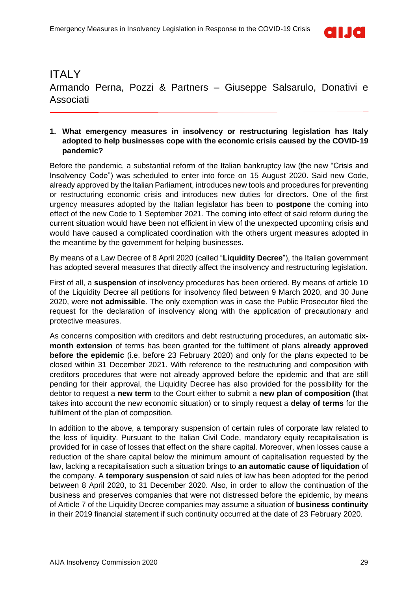

### <span id="page-28-0"></span>**ITALY** Armando Perna, Pozzi & Partners – Giuseppe Salsarulo, Donativi e Associati

#### **1. What emergency measures in insolvency or restructuring legislation has Italy adopted to help businesses cope with the economic crisis caused by the COVID-19 pandemic?**

Before the pandemic, a substantial reform of the Italian bankruptcy law (the new "Crisis and Insolvency Code") was scheduled to enter into force on 15 August 2020. Said new Code, already approved by the Italian Parliament, introduces new tools and procedures for preventing or restructuring economic crisis and introduces new duties for directors. One of the first urgency measures adopted by the Italian legislator has been to **postpone** the coming into effect of the new Code to 1 September 2021. The coming into effect of said reform during the current situation would have been not efficient in view of the unexpected upcoming crisis and would have caused a complicated coordination with the others urgent measures adopted in the meantime by the government for helping businesses.

By means of a Law Decree of 8 April 2020 (called "**Liquidity Decree**"), the Italian government has adopted several measures that directly affect the insolvency and restructuring legislation.

First of all, a **suspension** of insolvency procedures has been ordered. By means of article 10 of the Liquidity Decree all petitions for insolvency filed between 9 March 2020, and 30 June 2020, were **not admissible**. The only exemption was in case the Public Prosecutor filed the request for the declaration of insolvency along with the application of precautionary and protective measures.

As concerns composition with creditors and debt restructuring procedures, an automatic **sixmonth extension** of terms has been granted for the fulfilment of plans **already approved before the epidemic** (i.e. before 23 February 2020) and only for the plans expected to be closed within 31 December 2021. With reference to the restructuring and composition with creditors procedures that were not already approved before the epidemic and that are still pending for their approval, the Liquidity Decree has also provided for the possibility for the debtor to request a **new term** to the Court either to submit a **new plan of composition (**that takes into account the new economic situation) or to simply request a **delay of terms** for the fulfilment of the plan of composition.

In addition to the above, a temporary suspension of certain rules of corporate law related to the loss of liquidity. Pursuant to the Italian Civil Code, mandatory equity recapitalisation is provided for in case of losses that effect on the share capital. Moreover, when losses cause a reduction of the share capital below the minimum amount of capitalisation requested by the law, lacking a recapitalisation such a situation brings to **an automatic cause of liquidation** of the company. A **temporary suspension** of said rules of law has been adopted for the period between 8 April 2020, to 31 December 2020. Also, in order to allow the continuation of the business and preserves companies that were not distressed before the epidemic, by means of Article 7 of the Liquidity Decree companies may assume a situation of **business continuity** in their 2019 financial statement if such continuity occurred at the date of 23 February 2020.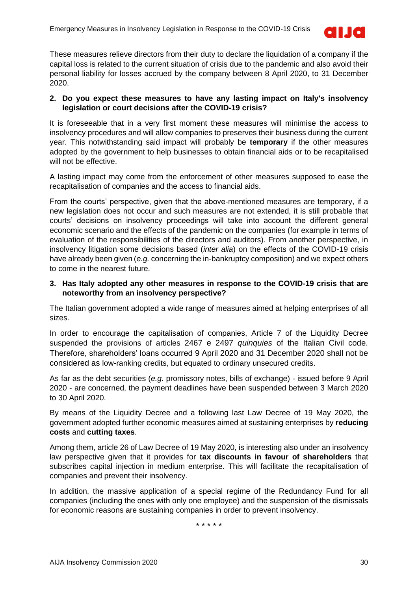

These measures relieve directors from their duty to declare the liquidation of a company if the capital loss is related to the current situation of crisis due to the pandemic and also avoid their personal liability for losses accrued by the company between 8 April 2020, to 31 December 2020.

### **2. Do you expect these measures to have any lasting impact on Italy's insolvency legislation or court decisions after the COVID-19 crisis?**

It is foreseeable that in a very first moment these measures will minimise the access to insolvency procedures and will allow companies to preserves their business during the current year. This notwithstanding said impact will probably be **temporary** if the other measures adopted by the government to help businesses to obtain financial aids or to be recapitalised will not be effective.

A lasting impact may come from the enforcement of other measures supposed to ease the recapitalisation of companies and the access to financial aids.

From the courts' perspective, given that the above-mentioned measures are temporary, if a new legislation does not occur and such measures are not extended, it is still probable that courts' decisions on insolvency proceedings will take into account the different general economic scenario and the effects of the pandemic on the companies (for example in terms of evaluation of the responsibilities of the directors and auditors). From another perspective, in insolvency litigation some decisions based (*inter alia*) on the effects of the COVID-19 crisis have already been given (*e.g.* concerning the in-bankruptcy composition) and we expect others to come in the nearest future.

#### **3. Has Italy adopted any other measures in response to the COVID-19 crisis that are noteworthy from an insolvency perspective?**

The Italian government adopted a wide range of measures aimed at helping enterprises of all sizes.

In order to encourage the capitalisation of companies, Article 7 of the Liquidity Decree suspended the provisions of articles 2467 e 2497 *quinquies* of the Italian Civil code. Therefore, shareholders' loans occurred 9 April 2020 and 31 December 2020 shall not be considered as low-ranking credits, but equated to ordinary unsecured credits.

As far as the debt securities (*e.g.* promissory notes, bills of exchange) - issued before 9 April 2020 - are concerned, the payment deadlines have been suspended between 3 March 2020 to 30 April 2020.

By means of the Liquidity Decree and a following last Law Decree of 19 May 2020, the government adopted further economic measures aimed at sustaining enterprises by **reducing costs** and **cutting taxes**.

Among them, article 26 of Law Decree of 19 May 2020, is interesting also under an insolvency law perspective given that it provides for **tax discounts in favour of shareholders** that subscribes capital injection in medium enterprise. This will facilitate the recapitalisation of companies and prevent their insolvency.

In addition, the massive application of a special regime of the Redundancy Fund for all companies (including the ones with only one employee) and the suspension of the dismissals for economic reasons are sustaining companies in order to prevent insolvency.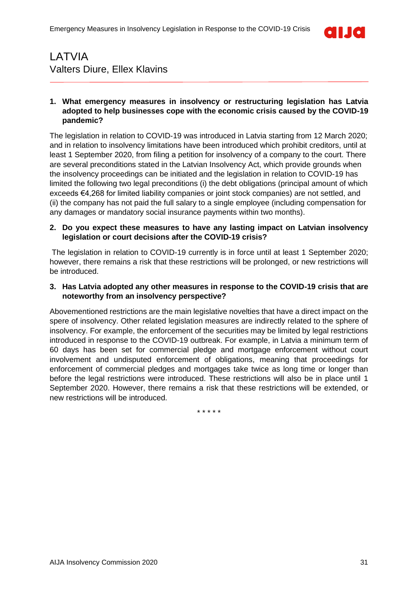

### <span id="page-30-0"></span>LATVIA Valters Diure, Ellex Klavins

### **1. What emergency measures in insolvency or restructuring legislation has Latvia adopted to help businesses cope with the economic crisis caused by the COVID-19 pandemic?**

The legislation in relation to COVID-19 was introduced in Latvia starting from 12 March 2020; and in relation to insolvency limitations have been introduced which prohibit creditors, until at least 1 September 2020, from filing a petition for insolvency of a company to the court. There are several preconditions stated in the Latvian Insolvency Act, which provide grounds when the insolvency proceedings can be initiated and the legislation in relation to COVID-19 has limited the following two legal preconditions (i) the debt obligations (principal amount of which exceeds €4,268 for limited liability companies or joint stock companies) are not settled, and (ii) the company has not paid the full salary to a single employee (including compensation for any damages or mandatory social insurance payments within two months).

### **2. Do you expect these measures to have any lasting impact on Latvian insolvency legislation or court decisions after the COVID-19 crisis?**

The legislation in relation to COVID-19 currently is in force until at least 1 September 2020; however, there remains a risk that these restrictions will be prolonged, or new restrictions will be introduced.

### **3. Has Latvia adopted any other measures in response to the COVID-19 crisis that are noteworthy from an insolvency perspective?**

Abovementioned restrictions are the main legislative novelties that have a direct impact on the spere of insolvency. Other related legislation measures are indirectly related to the sphere of insolvency. For example, the enforcement of the securities may be limited by legal restrictions introduced in response to the COVID-19 outbreak. For example, in Latvia a minimum term of 60 days has been set for commercial pledge and mortgage enforcement without court involvement and undisputed enforcement of obligations, meaning that proceedings for enforcement of commercial pledges and mortgages take twice as long time or longer than before the legal restrictions were introduced. These restrictions will also be in place until 1 September 2020. However, there remains a risk that these restrictions will be extended, or new restrictions will be introduced.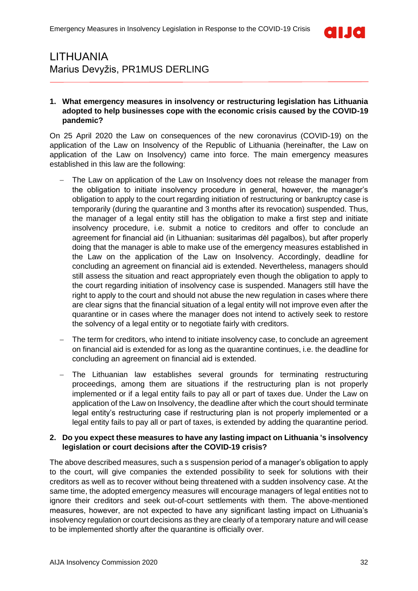

### <span id="page-31-0"></span>LITHUANIA Marius Devyžis, PR1MUS DERLING

### **1. What emergency measures in insolvency or restructuring legislation has Lithuania adopted to help businesses cope with the economic crisis caused by the COVID-19 pandemic?**

On 25 April 2020 the Law on consequences of the new coronavirus (COVID-19) on the application of the Law on Insolvency of the Republic of Lithuania (hereinafter, the Law on application of the Law on Insolvency) came into force. The main emergency measures established in this law are the following:

- The Law on application of the Law on Insolvency does not release the manager from the obligation to initiate insolvency procedure in general, however, the manager's obligation to apply to the court regarding initiation of restructuring or bankruptcy case is temporarily (during the quarantine and 3 months after its revocation) suspended. Thus, the manager of a legal entity still has the obligation to make a first step and initiate insolvency procedure, i.e. submit a notice to creditors and offer to conclude an agreement for financial aid (in Lithuanian: susitarimas dėl pagalbos), but after properly doing that the manager is able to make use of the emergency measures established in the Law on the application of the Law on Insolvency. Accordingly, deadline for concluding an agreement on financial aid is extended. Nevertheless, managers should still assess the situation and react appropriately even though the obligation to apply to the court regarding initiation of insolvency case is suspended. Managers still have the right to apply to the court and should not abuse the new regulation in cases where there are clear signs that the financial situation of a legal entity will not improve even after the quarantine or in cases where the manager does not intend to actively seek to restore the solvency of a legal entity or to negotiate fairly with creditors.
- The term for creditors, who intend to initiate insolvency case, to conclude an agreement on financial aid is extended for as long as the quarantine continues, i.e. the deadline for concluding an agreement on financial aid is extended.
- The Lithuanian law establishes several grounds for terminating restructuring proceedings, among them are situations if the restructuring plan is not properly implemented or if a legal entity fails to pay all or part of taxes due. Under the Law on application of the Law on Insolvency, the deadline after which the court should terminate legal entity's restructuring case if restructuring plan is not properly implemented or a legal entity fails to pay all or part of taxes, is extended by adding the quarantine period.

#### **2. Do you expect these measures to have any lasting impact on Lithuania 's insolvency legislation or court decisions after the COVID-19 crisis?**

The above described measures, such a s suspension period of a manager's obligation to apply to the court, will give companies the extended possibility to seek for solutions with their creditors as well as to recover without being threatened with a sudden insolvency case. At the same time, the adopted emergency measures will encourage managers of legal entities not to ignore their creditors and seek out-of-court settlements with them. The above-mentioned measures, however, are not expected to have any significant lasting impact on Lithuania's insolvency regulation or court decisions as they are clearly of a temporary nature and will cease to be implemented shortly after the quarantine is officially over.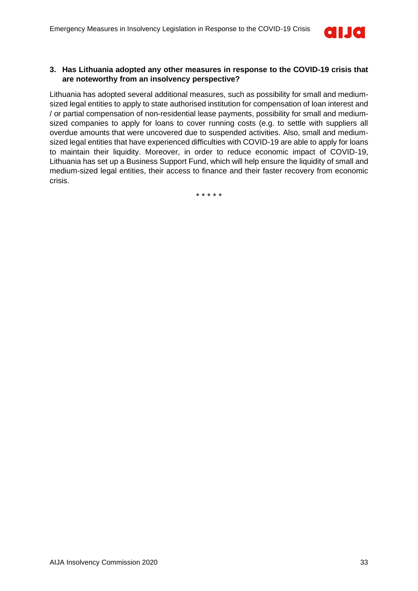

### **3. Has Lithuania adopted any other measures in response to the COVID-19 crisis that are noteworthy from an insolvency perspective?**

Lithuania has adopted several additional measures, such as possibility for small and mediumsized legal entities to apply to state authorised institution for compensation of loan interest and / or partial compensation of non-residential lease payments, possibility for small and mediumsized companies to apply for loans to cover running costs (e.g. to settle with suppliers all overdue amounts that were uncovered due to suspended activities. Also, small and mediumsized legal entities that have experienced difficulties with COVID-19 are able to apply for loans to maintain their liquidity. Moreover, in order to reduce economic impact of COVID-19, Lithuania has set up a Business Support Fund, which will help ensure the liquidity of small and medium-sized legal entities, their access to finance and their faster recovery from economic crisis.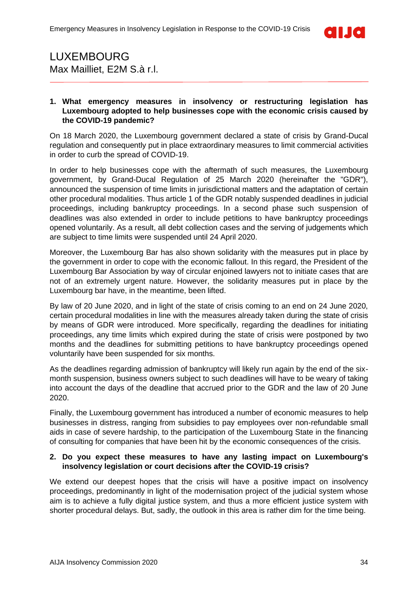

### <span id="page-33-0"></span>LUXEMBOURG Max Mailliet, E2M S.à r.l.

### **1. What emergency measures in insolvency or restructuring legislation has Luxembourg adopted to help businesses cope with the economic crisis caused by the COVID-19 pandemic?**

On 18 March 2020, the Luxembourg government declared a state of crisis by Grand-Ducal regulation and consequently put in place extraordinary measures to limit commercial activities in order to curb the spread of COVID-19.

In order to help businesses cope with the aftermath of such measures, the Luxembourg government, by Grand-Ducal Regulation of 25 March 2020 (hereinafter the "GDR"), announced the suspension of time limits in jurisdictional matters and the adaptation of certain other procedural modalities. Thus article 1 of the GDR notably suspended deadlines in judicial proceedings, including bankruptcy proceedings. In a second phase such suspension of deadlines was also extended in order to include petitions to have bankruptcy proceedings opened voluntarily. As a result, all debt collection cases and the serving of judgements which are subject to time limits were suspended until 24 April 2020.

Moreover, the Luxembourg Bar has also shown solidarity with the measures put in place by the government in order to cope with the economic fallout. In this regard, the President of the Luxembourg Bar Association by way of circular enjoined lawyers not to initiate cases that are not of an extremely urgent nature. However, the solidarity measures put in place by the Luxembourg bar have, in the meantime, been lifted.

By law of 20 June 2020, and in light of the state of crisis coming to an end on 24 June 2020, certain procedural modalities in line with the measures already taken during the state of crisis by means of GDR were introduced. More specifically, regarding the deadlines for initiating proceedings, any time limits which expired during the state of crisis were postponed by two months and the deadlines for submitting petitions to have bankruptcy proceedings opened voluntarily have been suspended for six months.

As the deadlines regarding admission of bankruptcy will likely run again by the end of the sixmonth suspension, business owners subject to such deadlines will have to be weary of taking into account the days of the deadline that accrued prior to the GDR and the law of 20 June 2020.

Finally, the Luxembourg government has introduced a number of economic measures to help businesses in distress, ranging from subsidies to pay employees over non-refundable small aids in case of severe hardship, to the participation of the Luxembourg State in the financing of consulting for companies that have been hit by the economic consequences of the crisis.

### **2. Do you expect these measures to have any lasting impact on Luxembourg's insolvency legislation or court decisions after the COVID-19 crisis?**

We extend our deepest hopes that the crisis will have a positive impact on insolvency proceedings, predominantly in light of the modernisation project of the judicial system whose aim is to achieve a fully digital justice system, and thus a more efficient justice system with shorter procedural delays. But, sadly, the outlook in this area is rather dim for the time being.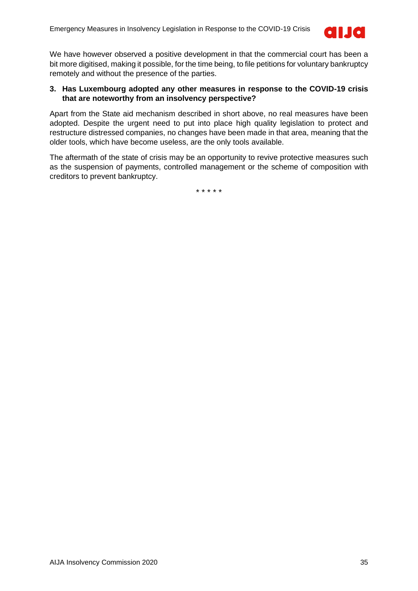

We have however observed a positive development in that the commercial court has been a bit more digitised, making it possible, for the time being, to file petitions for voluntary bankruptcy remotely and without the presence of the parties.

### **3. Has Luxembourg adopted any other measures in response to the COVID-19 crisis that are noteworthy from an insolvency perspective?**

Apart from the State aid mechanism described in short above, no real measures have been adopted. Despite the urgent need to put into place high quality legislation to protect and restructure distressed companies, no changes have been made in that area, meaning that the older tools, which have become useless, are the only tools available.

The aftermath of the state of crisis may be an opportunity to revive protective measures such as the suspension of payments, controlled management or the scheme of composition with creditors to prevent bankruptcy.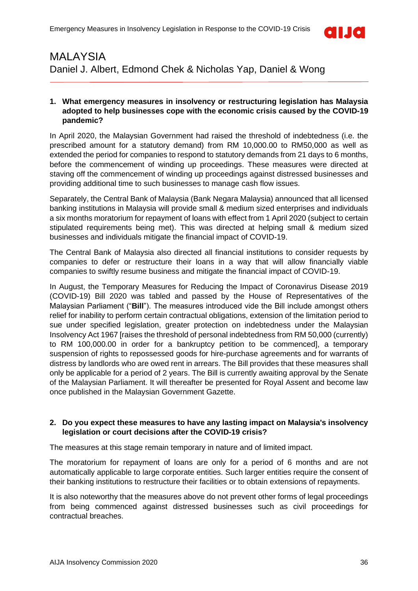

### <span id="page-35-0"></span>MALAYSIA Daniel J. Albert, Edmond Chek & Nicholas Yap, Daniel & Wong

### **1. What emergency measures in insolvency or restructuring legislation has Malaysia adopted to help businesses cope with the economic crisis caused by the COVID-19 pandemic?**

In April 2020, the Malaysian Government had raised the threshold of indebtedness (i.e. the prescribed amount for a statutory demand) from RM 10,000.00 to RM50,000 as well as extended the period for companies to respond to statutory demands from 21 days to 6 months, before the commencement of winding up proceedings. These measures were directed at staving off the commencement of winding up proceedings against distressed businesses and providing additional time to such businesses to manage cash flow issues.

Separately, the Central Bank of Malaysia (Bank Negara Malaysia) announced that all licensed banking institutions in Malaysia will provide small & medium sized enterprises and individuals a six months moratorium for repayment of loans with effect from 1 April 2020 (subject to certain stipulated requirements being met). This was directed at helping small & medium sized businesses and individuals mitigate the financial impact of COVID-19.

The Central Bank of Malaysia also directed all financial institutions to consider requests by companies to defer or restructure their loans in a way that will allow financially viable companies to swiftly resume business and mitigate the financial impact of COVID-19.

In August, the Temporary Measures for Reducing the Impact of Coronavirus Disease 2019 (COVID-19) Bill 2020 was tabled and passed by the House of Representatives of the Malaysian Parliament ("**Bill**"). The measures introduced vide the Bill include amongst others relief for inability to perform certain contractual obligations, extension of the limitation period to sue under specified legislation, greater protection on indebtedness under the Malaysian Insolvency Act 1967 [raises the threshold of personal indebtedness from RM 50,000 (currently) to RM 100,000.00 in order for a bankruptcy petition to be commenced], a temporary suspension of rights to repossessed goods for hire-purchase agreements and for warrants of distress by landlords who are owed rent in arrears. The Bill provides that these measures shall only be applicable for a period of 2 years. The Bill is currently awaiting approval by the Senate of the Malaysian Parliament. It will thereafter be presented for Royal Assent and become law once published in the Malaysian Government Gazette.

### **2. Do you expect these measures to have any lasting impact on Malaysia's insolvency legislation or court decisions after the COVID-19 crisis?**

The measures at this stage remain temporary in nature and of limited impact.

The moratorium for repayment of loans are only for a period of 6 months and are not automatically applicable to large corporate entities. Such larger entities require the consent of their banking institutions to restructure their facilities or to obtain extensions of repayments.

It is also noteworthy that the measures above do not prevent other forms of legal proceedings from being commenced against distressed businesses such as civil proceedings for contractual breaches.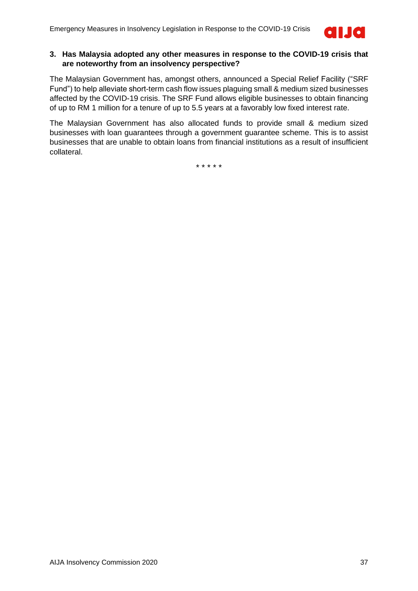

#### **3. Has Malaysia adopted any other measures in response to the COVID-19 crisis that are noteworthy from an insolvency perspective?**

The Malaysian Government has, amongst others, announced a Special Relief Facility ("SRF Fund") to help alleviate short-term cash flow issues plaguing small & medium sized businesses affected by the COVID-19 crisis. The SRF Fund allows eligible businesses to obtain financing of up to RM 1 million for a tenure of up to 5.5 years at a favorably low fixed interest rate.

The Malaysian Government has also allocated funds to provide small & medium sized businesses with loan guarantees through a government guarantee scheme. This is to assist businesses that are unable to obtain loans from financial institutions as a result of insufficient collateral.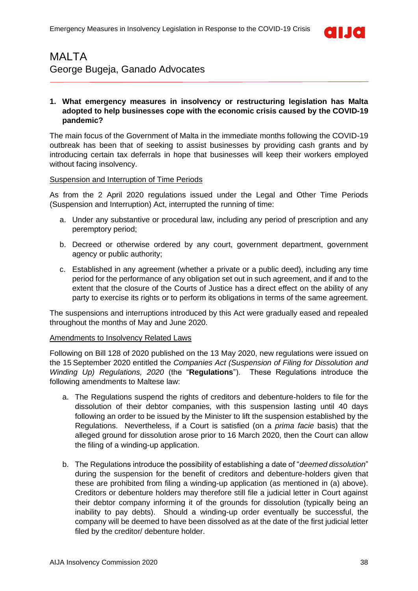

### <span id="page-37-0"></span>MALTA George Bugeja, Ganado Advocates

### **1. What emergency measures in insolvency or restructuring legislation has Malta adopted to help businesses cope with the economic crisis caused by the COVID-19 pandemic?**

The main focus of the Government of Malta in the immediate months following the COVID-19 outbreak has been that of seeking to assist businesses by providing cash grants and by introducing certain tax deferrals in hope that businesses will keep their workers employed without facing insolvency.

#### Suspension and Interruption of Time Periods

As from the 2 April 2020 regulations issued under the Legal and Other Time Periods (Suspension and Interruption) Act, interrupted the running of time:

- a. Under any substantive or procedural law, including any period of prescription and any peremptory period;
- b. Decreed or otherwise ordered by any court, government department, government agency or public authority;
- c. Established in any agreement (whether a private or a public deed), including any time period for the performance of any obligation set out in such agreement, and if and to the extent that the closure of the Courts of Justice has a direct effect on the ability of any party to exercise its rights or to perform its obligations in terms of the same agreement.

The suspensions and interruptions introduced by this Act were gradually eased and repealed throughout the months of May and June 2020.

### Amendments to Insolvency Related Laws

Following on Bill 128 of 2020 published on the 13 May 2020, new regulations were issued on the 15 September 2020 entitled the *Companies Act (Suspension of Filing for Dissolution and Winding Up) Regulations, 2020* (the "**Regulations**"). These Regulations introduce the following amendments to Maltese law:

- a. The Regulations suspend the rights of creditors and debenture-holders to file for the dissolution of their debtor companies, with this suspension lasting until 40 days following an order to be issued by the Minister to lift the suspension established by the Regulations. Nevertheless, if a Court is satisfied (on a *prima facie* basis) that the alleged ground for dissolution arose prior to 16 March 2020, then the Court can allow the filing of a winding-up application.
- b. The Regulations introduce the possibility of establishing a date of "*deemed dissolution*" during the suspension for the benefit of creditors and debenture-holders given that these are prohibited from filing a winding-up application (as mentioned in (a) above). Creditors or debenture holders may therefore still file a judicial letter in Court against their debtor company informing it of the grounds for dissolution (typically being an inability to pay debts). Should a winding-up order eventually be successful, the company will be deemed to have been dissolved as at the date of the first judicial letter filed by the creditor/ debenture holder.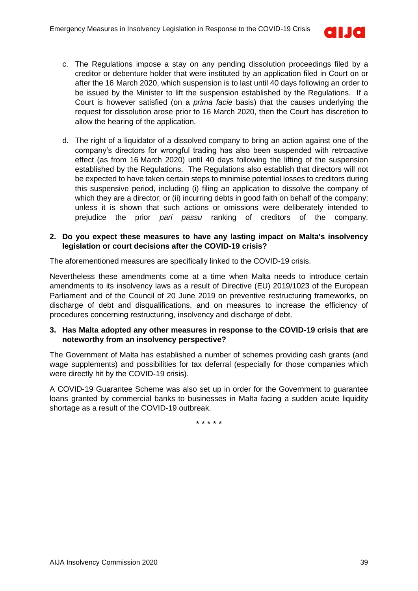

- c. The Regulations impose a stay on any pending dissolution proceedings filed by a creditor or debenture holder that were instituted by an application filed in Court on or after the 16 March 2020, which suspension is to last until 40 days following an order to be issued by the Minister to lift the suspension established by the Regulations. If a Court is however satisfied (on a *prima facie* basis) that the causes underlying the request for dissolution arose prior to 16 March 2020, then the Court has discretion to allow the hearing of the application.
- d. The right of a liquidator of a dissolved company to bring an action against one of the company's directors for wrongful trading has also been suspended with retroactive effect (as from 16 March 2020) until 40 days following the lifting of the suspension established by the Regulations. The Regulations also establish that directors will not be expected to have taken certain steps to minimise potential losses to creditors during this suspensive period, including (i) filing an application to dissolve the company of which they are a director; or (ii) incurring debts in good faith on behalf of the company; unless it is shown that such actions or omissions were deliberately intended to prejudice the prior *pari passu* ranking of creditors of the company.

### **2. Do you expect these measures to have any lasting impact on Malta's insolvency legislation or court decisions after the COVID-19 crisis?**

The aforementioned measures are specifically linked to the COVID-19 crisis.

Nevertheless these amendments come at a time when Malta needs to introduce certain amendments to its insolvency laws as a result of Directive (EU) 2019/1023 of the European Parliament and of the Council of 20 June 2019 on preventive restructuring frameworks, on discharge of debt and disqualifications, and on measures to increase the efficiency of procedures concerning restructuring, insolvency and discharge of debt.

### **3. Has Malta adopted any other measures in response to the COVID-19 crisis that are noteworthy from an insolvency perspective?**

The Government of Malta has established a number of schemes providing cash grants (and wage supplements) and possibilities for tax deferral (especially for those companies which were directly hit by the COVID-19 crisis).

A COVID-19 Guarantee Scheme was also set up in order for the Government to guarantee loans granted by commercial banks to businesses in Malta facing a sudden acute liquidity shortage as a result of the COVID-19 outbreak.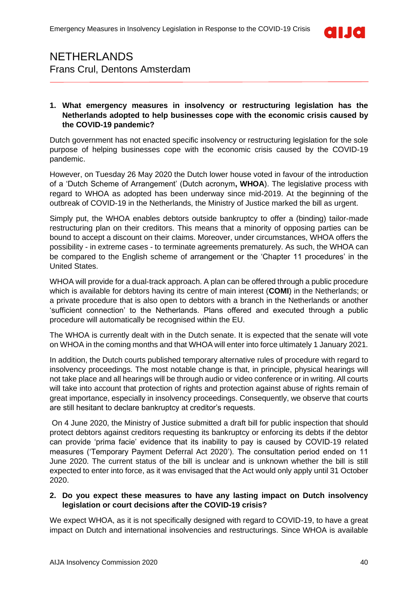

## <span id="page-39-0"></span>NETHERLANDS Frans Crul, Dentons Amsterdam

### **1. What emergency measures in insolvency or restructuring legislation has the Netherlands adopted to help businesses cope with the economic crisis caused by the COVID-19 pandemic?**

Dutch government has not enacted specific insolvency or restructuring legislation for the sole purpose of helping businesses cope with the economic crisis caused by the COVID-19 pandemic.

However, on Tuesday 26 May 2020 the Dutch lower house voted in favour of the introduction of a 'Dutch Scheme of Arrangement' (Dutch acronym**, WHOA**). The legislative process with regard to WHOA as adopted has been underway since mid-2019. At the beginning of the outbreak of COVID-19 in the Netherlands, the Ministry of Justice marked the bill as urgent.

Simply put, the WHOA enables debtors outside bankruptcy to offer a (binding) tailor-made restructuring plan on their creditors. This means that a minority of opposing parties can be bound to accept a discount on their claims. Moreover, under circumstances, WHOA offers the possibility - in extreme cases - to terminate agreements prematurely. As such, the WHOA can be compared to the English scheme of arrangement or the 'Chapter 11 procedures' in the United States.

WHOA will provide for a dual-track approach. A plan can be offered through a public procedure which is available for debtors having its centre of main interest (**COMI**) in the Netherlands; or a private procedure that is also open to debtors with a branch in the Netherlands or another 'sufficient connection' to the Netherlands. Plans offered and executed through a public procedure will automatically be recognised within the EU.

The WHOA is currently dealt with in the Dutch senate. It is expected that the senate will vote on WHOA in the coming months and that WHOA will enter into force ultimately 1 January 2021.

In addition, the Dutch courts published temporary alternative rules of procedure with regard to insolvency proceedings. The most notable change is that, in principle, physical hearings will not take place and all hearings will be through audio or video conference or in writing. All courts will take into account that protection of rights and protection against abuse of rights remain of great importance, especially in insolvency proceedings. Consequently, we observe that courts are still hesitant to declare bankruptcy at creditor's requests.

On 4 June 2020, the Ministry of Justice submitted a draft bill for public inspection that should protect debtors against creditors requesting its bankruptcy or enforcing its debts if the debtor can provide 'prima facie' evidence that its inability to pay is caused by COVID-19 related measures ('Temporary Payment Deferral Act 2020'). The consultation period ended on 11 June 2020. The current status of the bill is unclear and is unknown whether the bill is still expected to enter into force, as it was envisaged that the Act would only apply until 31 October 2020.

### **2. Do you expect these measures to have any lasting impact on Dutch insolvency legislation or court decisions after the COVID-19 crisis?**

We expect WHOA, as it is not specifically designed with regard to COVID-19, to have a great impact on Dutch and international insolvencies and restructurings. Since WHOA is available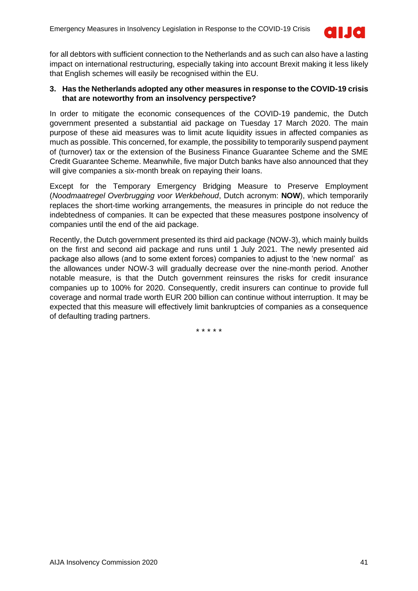

for all debtors with sufficient connection to the Netherlands and as such can also have a lasting impact on international restructuring, especially taking into account Brexit making it less likely that English schemes will easily be recognised within the EU.

### **3. Has the Netherlands adopted any other measures in response to the COVID-19 crisis that are noteworthy from an insolvency perspective?**

In order to mitigate the economic consequences of the COVID-19 pandemic, the Dutch government presented a substantial aid package on Tuesday 17 March 2020. The main purpose of these aid measures was to limit acute liquidity issues in affected companies as much as possible. This concerned, for example, the possibility to temporarily suspend payment of (turnover) tax or the extension of the Business Finance Guarantee Scheme and the SME Credit Guarantee Scheme. Meanwhile, five major Dutch banks have also announced that they will give companies a six-month break on repaying their loans.

Except for the Temporary Emergency Bridging Measure to Preserve Employment (*Noodmaatregel Overbrugging voor Werkbehoud*, Dutch acronym: **NOW**), which temporarily replaces the short-time working arrangements, the measures in principle do not reduce the indebtedness of companies. It can be expected that these measures postpone insolvency of companies until the end of the aid package.

Recently, the Dutch government presented its third aid package (NOW-3), which mainly builds on the first and second aid package and runs until 1 July 2021. The newly presented aid package also allows (and to some extent forces) companies to adjust to the 'new normal' as the allowances under NOW-3 will gradually decrease over the nine-month period. Another notable measure, is that the Dutch government reinsures the risks for credit insurance companies up to 100% for 2020. Consequently, credit insurers can continue to provide full coverage and normal trade worth EUR 200 billion can continue without interruption. It may be expected that this measure will effectively limit bankruptcies of companies as a consequence of defaulting trading partners.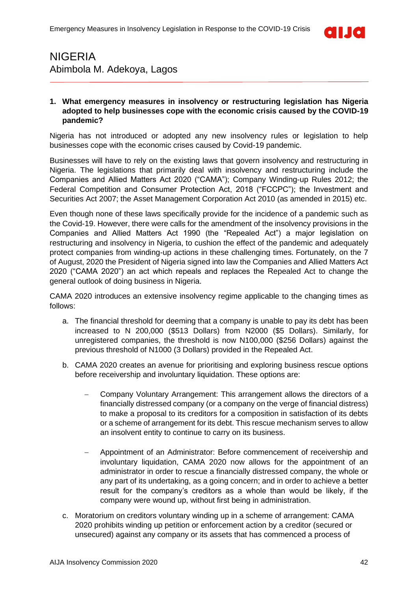

### <span id="page-41-0"></span>NIGERIA Abimbola M. Adekoya, Lagos

### **1. What emergency measures in insolvency or restructuring legislation has Nigeria adopted to help businesses cope with the economic crisis caused by the COVID-19 pandemic?**

Nigeria has not introduced or adopted any new insolvency rules or legislation to help businesses cope with the economic crises caused by Covid-19 pandemic.

Businesses will have to rely on the existing laws that govern insolvency and restructuring in Nigeria. The legislations that primarily deal with insolvency and restructuring include the Companies and Allied Matters Act 2020 ("CAMA"); Company Winding-up Rules 2012; the Federal Competition and Consumer Protection Act, 2018 ("FCCPC"); the Investment and Securities Act 2007; the Asset Management Corporation Act 2010 (as amended in 2015) etc.

Even though none of these laws specifically provide for the incidence of a pandemic such as the Covid-19. However, there were calls for the amendment of the insolvency provisions in the Companies and Allied Matters Act 1990 (the "Repealed Act") a major legislation on restructuring and insolvency in Nigeria, to cushion the effect of the pandemic and adequately protect companies from winding-up actions in these challenging times. Fortunately, on the 7 of August, 2020 the President of Nigeria signed into law the Companies and Allied Matters Act 2020 ("CAMA 2020") an act which repeals and replaces the Repealed Act to change the general outlook of doing business in Nigeria.

CAMA 2020 introduces an extensive insolvency regime applicable to the changing times as follows:

- a. The financial threshold for deeming that a company is unable to pay its debt has been increased to N 200,000 (\$513 Dollars) from N2000 (\$5 Dollars). Similarly, for unregistered companies, the threshold is now N100,000 (\$256 Dollars) against the previous threshold of N1000 (3 Dollars) provided in the Repealed Act.
- b. CAMA 2020 creates an avenue for prioritising and exploring business rescue options before receivership and involuntary liquidation. These options are:
	- − Company Voluntary Arrangement: This arrangement allows the directors of a financially distressed company (or a company on the verge of financial distress) to make a proposal to its creditors for a composition in satisfaction of its debts or a scheme of arrangement for its debt. This rescue mechanism serves to allow an insolvent entity to continue to carry on its business.
	- − Appointment of an Administrator: Before commencement of receivership and involuntary liquidation, CAMA 2020 now allows for the appointment of an administrator in order to rescue a financially distressed company, the whole or any part of its undertaking, as a going concern; and in order to achieve a better result for the company's creditors as a whole than would be likely, if the company were wound up, without first being in administration.
- c. Moratorium on creditors voluntary winding up in a scheme of arrangement: CAMA 2020 prohibits winding up petition or enforcement action by a creditor (secured or unsecured) against any company or its assets that has commenced a process of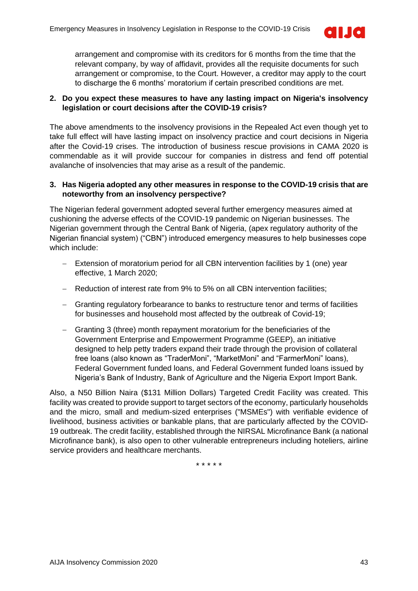

arrangement and compromise with its creditors for 6 months from the time that the relevant company, by way of affidavit, provides all the requisite documents for such arrangement or compromise, to the Court. However, a creditor may apply to the court to discharge the 6 months' moratorium if certain prescribed conditions are met.

### **2. Do you expect these measures to have any lasting impact on Nigeria's insolvency legislation or court decisions after the COVID-19 crisis?**

The above amendments to the insolvency provisions in the Repealed Act even though yet to take full effect will have lasting impact on insolvency practice and court decisions in Nigeria after the Covid-19 crises. The introduction of business rescue provisions in CAMA 2020 is commendable as it will provide succour for companies in distress and fend off potential avalanche of insolvencies that may arise as a result of the pandemic.

### **3. Has Nigeria adopted any other measures in response to the COVID-19 crisis that are noteworthy from an insolvency perspective?**

The Nigerian federal government adopted several further emergency measures aimed at cushioning the adverse effects of the COVID-19 pandemic on Nigerian businesses. The Nigerian government through the Central Bank of Nigeria, (apex regulatory authority of the Nigerian financial system) ("CBN") introduced emergency measures to help businesses cope which include:

- − Extension of moratorium period for all CBN intervention facilities by 1 (one) year effective, 1 March 2020;
- − Reduction of interest rate from 9% to 5% on all CBN intervention facilities;
- − Granting regulatory forbearance to banks to restructure tenor and terms of facilities for businesses and household most affected by the outbreak of Covid-19;
- − Granting 3 (three) month repayment moratorium for the beneficiaries of the Government Enterprise and Empowerment Programme (GEEP), an initiative designed to help petty traders expand their trade through the provision of collateral free loans (also known as "TraderMoni", "MarketMoni" and "FarmerMoni" loans), Federal Government funded loans, and Federal Government funded loans issued by Nigeria's Bank of Industry, Bank of Agriculture and the Nigeria Export Import Bank.

Also, a N50 Billion Naira (\$131 Million Dollars) Targeted Credit Facility was created. This facility was created to provide support to target sectors of the economy, particularly households and the micro, small and medium-sized enterprises ("MSMEs") with verifiable evidence of livelihood, business activities or bankable plans, that are particularly affected by the COVID-19 outbreak. The credit facility, established through the NIRSAL Microfinance Bank (a national Microfinance bank), is also open to other vulnerable entrepreneurs including hoteliers, airline service providers and healthcare merchants.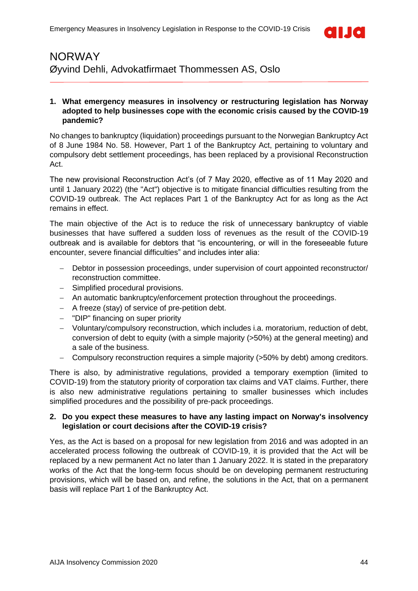

### <span id="page-43-0"></span>NORWAY Øyvind Dehli, Advokatfirmaet Thommessen AS, Oslo

### **1. What emergency measures in insolvency or restructuring legislation has Norway adopted to help businesses cope with the economic crisis caused by the COVID-19 pandemic?**

No changes to bankruptcy (liquidation) proceedings pursuant to the Norwegian Bankruptcy Act of 8 June 1984 No. 58. However, Part 1 of the Bankruptcy Act, pertaining to voluntary and compulsory debt settlement proceedings, has been replaced by a provisional Reconstruction Act.

The new provisional Reconstruction Act's (of 7 May 2020, effective as of 11 May 2020 and until 1 January 2022) (the "Act") objective is to mitigate financial difficulties resulting from the COVID-19 outbreak. The Act replaces Part 1 of the Bankruptcy Act for as long as the Act remains in effect.

The main objective of the Act is to reduce the risk of unnecessary bankruptcy of viable businesses that have suffered a sudden loss of revenues as the result of the COVID-19 outbreak and is available for debtors that "is encountering, or will in the foreseeable future encounter, severe financial difficulties" and includes inter alia:

- − Debtor in possession proceedings, under supervision of court appointed reconstructor/ reconstruction committee.
- − Simplified procedural provisions.
- − An automatic bankruptcy/enforcement protection throughout the proceedings.
- − A freeze (stay) of service of pre-petition debt.
- − "DIP" financing on super priority
- − Voluntary/compulsory reconstruction, which includes i.a. moratorium, reduction of debt, conversion of debt to equity (with a simple majority (>50%) at the general meeting) and a sale of the business.
- − Compulsory reconstruction requires a simple majority (>50% by debt) among creditors.

There is also, by administrative regulations, provided a temporary exemption (limited to COVID-19) from the statutory priority of corporation tax claims and VAT claims. Further, there is also new administrative regulations pertaining to smaller businesses which includes simplified procedures and the possibility of pre-pack proceedings.

#### **2. Do you expect these measures to have any lasting impact on Norway's insolvency legislation or court decisions after the COVID-19 crisis?**

Yes, as the Act is based on a proposal for new legislation from 2016 and was adopted in an accelerated process following the outbreak of COVID-19, it is provided that the Act will be replaced by a new permanent Act no later than 1 January 2022. It is stated in the preparatory works of the Act that the long-term focus should be on developing permanent restructuring provisions, which will be based on, and refine, the solutions in the Act, that on a permanent basis will replace Part 1 of the Bankruptcy Act.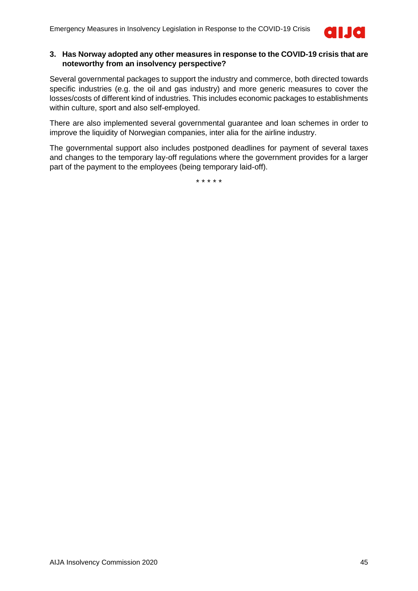

### **3. Has Norway adopted any other measures in response to the COVID-19 crisis that are noteworthy from an insolvency perspective?**

Several governmental packages to support the industry and commerce, both directed towards specific industries (e.g. the oil and gas industry) and more generic measures to cover the losses/costs of different kind of industries. This includes economic packages to establishments within culture, sport and also self-employed.

There are also implemented several governmental guarantee and loan schemes in order to improve the liquidity of Norwegian companies, inter alia for the airline industry.

The governmental support also includes postponed deadlines for payment of several taxes and changes to the temporary lay-off regulations where the government provides for a larger part of the payment to the employees (being temporary laid-off).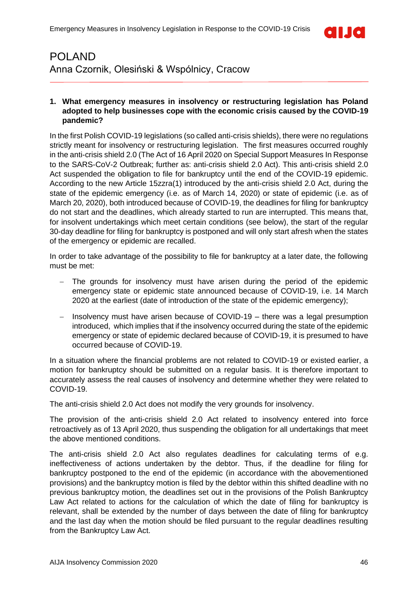

### <span id="page-45-0"></span>POLAND Anna Czornik, Olesiński & Wspólnicy, Cracow

### **1. What emergency measures in insolvency or restructuring legislation has Poland adopted to help businesses cope with the economic crisis caused by the COVID-19 pandemic?**

In the first Polish COVID-19 legislations (so called anti-crisis shields), there were no regulations strictly meant for insolvency or restructuring legislation. The first measures occurred roughly in the anti-crisis shield 2.0 (The Act of 16 April 2020 on Special Support Measures In Response to the SARS-CoV-2 Outbreak; further as: anti-crisis shield 2.0 Act). This anti-crisis shield 2.0 Act suspended the obligation to file for bankruptcy until the end of the COVID-19 epidemic. According to the new Article 15zzra(1) introduced by the anti-crisis shield 2.0 Act, during the state of the epidemic emergency (i.e. as of March 14, 2020) or state of epidemic (i.e. as of March 20, 2020), both introduced because of COVID-19, the deadlines for filing for bankruptcy do not start and the deadlines, which already started to run are interrupted. This means that, for insolvent undertakings which meet certain conditions (see below), the start of the regular 30-day deadline for filing for bankruptcy is postponed and will only start afresh when the states of the emergency or epidemic are recalled.

In order to take advantage of the possibility to file for bankruptcy at a later date, the following must be met:

- − The grounds for insolvency must have arisen during the period of the epidemic emergency state or epidemic state announced because of COVID-19, i.e. 14 March 2020 at the earliest (date of introduction of the state of the epidemic emergency);
- − Insolvency must have arisen because of COVID-19 there was a legal presumption introduced, which implies that if the insolvency occurred during the state of the epidemic emergency or state of epidemic declared because of COVID-19, it is presumed to have occurred because of COVID-19.

In a situation where the financial problems are not related to COVID-19 or existed earlier, a motion for bankruptcy should be submitted on a regular basis. It is therefore important to accurately assess the real causes of insolvency and determine whether they were related to COVID-19.

The anti-crisis shield 2.0 Act does not modify the very grounds for insolvency.

The provision of the anti-crisis shield 2.0 Act related to insolvency entered into force retroactively as of 13 April 2020, thus suspending the obligation for all undertakings that meet the above mentioned conditions.

The anti-crisis shield 2.0 Act also regulates deadlines for calculating terms of e.g. ineffectiveness of actions undertaken by the debtor. Thus, if the deadline for filing for bankruptcy postponed to the end of the epidemic (in accordance with the abovementioned provisions) and the bankruptcy motion is filed by the debtor within this shifted deadline with no previous bankruptcy motion, the deadlines set out in the provisions of the Polish Bankruptcy Law Act related to actions for the calculation of which the date of filing for bankruptcy is relevant, shall be extended by the number of days between the date of filing for bankruptcy and the last day when the motion should be filed pursuant to the regular deadlines resulting from the Bankruptcy Law Act.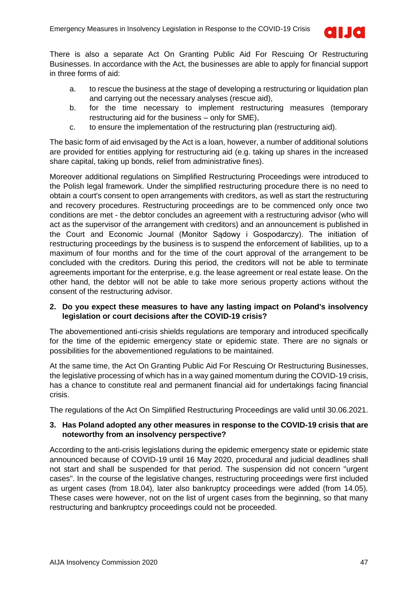

There is also a separate Act On Granting Public Aid For Rescuing Or Restructuring Businesses. In accordance with the Act, the businesses are able to apply for financial support in three forms of aid:

- a. to rescue the business at the stage of developing a restructuring or liquidation plan and carrying out the necessary analyses (rescue aid),
- b. for the time necessary to implement restructuring measures (temporary restructuring aid for the business – only for SME),
- c. to ensure the implementation of the restructuring plan (restructuring aid).

The basic form of aid envisaged by the Act is a loan, however, a number of additional solutions are provided for entities applying for restructuring aid (e.g. taking up shares in the increased share capital, taking up bonds, relief from administrative fines).

Moreover additional regulations on Simplified Restructuring Proceedings were introduced to the Polish legal framework. Under the simplified restructuring procedure there is no need to obtain a court's consent to open arrangements with creditors, as well as start the restructuring and recovery procedures. Restructuring proceedings are to be commenced only once two conditions are met - the debtor concludes an agreement with a restructuring advisor (who will act as the supervisor of the arrangement with creditors) and an announcement is published in the Court and Economic Journal (Monitor Sądowy i Gospodarczy). The initiation of restructuring proceedings by the business is to suspend the enforcement of liabilities, up to a maximum of four months and for the time of the court approval of the arrangement to be concluded with the creditors. During this period, the creditors will not be able to terminate agreements important for the enterprise, e.g. the lease agreement or real estate lease. On the other hand, the debtor will not be able to take more serious property actions without the consent of the restructuring advisor.

### **2. Do you expect these measures to have any lasting impact on Poland's insolvency legislation or court decisions after the COVID-19 crisis?**

The abovementioned anti-crisis shields regulations are temporary and introduced specifically for the time of the epidemic emergency state or epidemic state. There are no signals or possibilities for the abovementioned regulations to be maintained.

At the same time, the Act On Granting Public Aid For Rescuing Or Restructuring Businesses, the legislative processing of which has in a way gained momentum during the COVID-19 crisis, has a chance to constitute real and permanent financial aid for undertakings facing financial crisis.

The regulations of the Act On Simplified Restructuring Proceedings are valid until 30.06.2021.

### **3. Has Poland adopted any other measures in response to the COVID-19 crisis that are noteworthy from an insolvency perspective?**

According to the anti-crisis legislations during the epidemic emergency state or epidemic state announced because of COVID-19 until 16 May 2020, procedural and judicial deadlines shall not start and shall be suspended for that period. The suspension did not concern "urgent cases". In the course of the legislative changes, restructuring proceedings were first included as urgent cases (from 18.04), later also bankruptcy proceedings were added (from 14.05). These cases were however, not on the list of urgent cases from the beginning, so that many restructuring and bankruptcy proceedings could not be proceeded.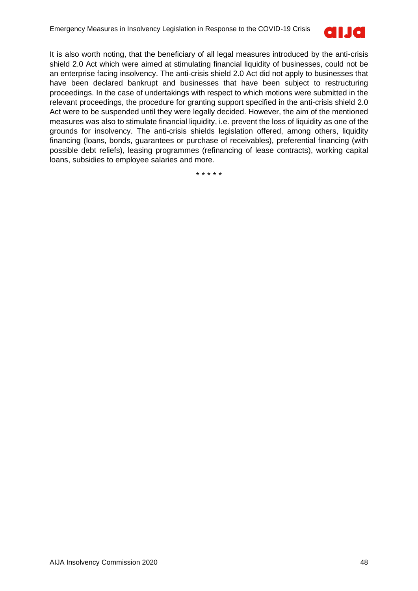

It is also worth noting, that the beneficiary of all legal measures introduced by the anti-crisis shield 2.0 Act which were aimed at stimulating financial liquidity of businesses, could not be an enterprise facing insolvency. The anti-crisis shield 2.0 Act did not apply to businesses that have been declared bankrupt and businesses that have been subject to restructuring proceedings. In the case of undertakings with respect to which motions were submitted in the relevant proceedings, the procedure for granting support specified in the anti-crisis shield 2.0 Act were to be suspended until they were legally decided. However, the aim of the mentioned measures was also to stimulate financial liquidity, i.e. prevent the loss of liquidity as one of the grounds for insolvency. The anti-crisis shields legislation offered, among others, liquidity financing (loans, bonds, guarantees or purchase of receivables), preferential financing (with possible debt reliefs), leasing programmes (refinancing of lease contracts), working capital loans, subsidies to employee salaries and more.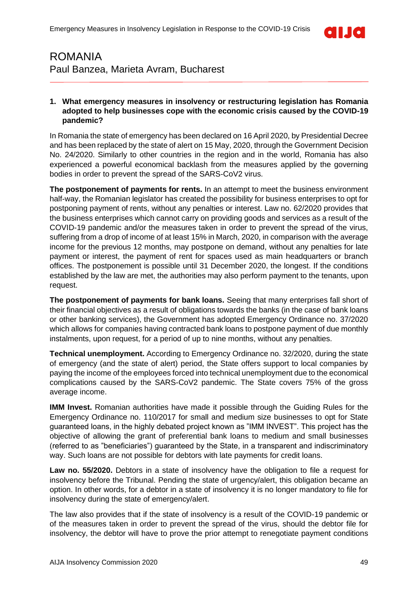

### <span id="page-48-0"></span>ROMANIA Paul Banzea, Marieta Avram, Bucharest

### **1. What emergency measures in insolvency or restructuring legislation has Romania adopted to help businesses cope with the economic crisis caused by the COVID-19 pandemic?**

In Romania the state of emergency has been declared on 16 April 2020, by Presidential Decree and has been replaced by the state of alert on 15 May, 2020, through the Government Decision No. 24/2020. Similarly to other countries in the region and in the world, Romania has also experienced a powerful economical backlash from the measures applied by the governing bodies in order to prevent the spread of the SARS-CoV2 virus.

**The postponement of payments for rents.** In an attempt to meet the business environment half-way, the Romanian legislator has created the possibility for business enterprises to opt for postponing payment of rents, without any penalties or interest. Law no. 62/2020 provides that the business enterprises which cannot carry on providing goods and services as a result of the COVID-19 pandemic and/or the measures taken in order to prevent the spread of the virus, suffering from a drop of income of at least 15% in March, 2020, in comparison with the average income for the previous 12 months, may postpone on demand, without any penalties for late payment or interest, the payment of rent for spaces used as main headquarters or branch offices. The postponement is possible until 31 December 2020, the longest. If the conditions established by the law are met, the authorities may also perform payment to the tenants, upon request.

**The postponement of payments for bank loans.** Seeing that many enterprises fall short of their financial objectives as a result of obligations towards the banks (in the case of bank loans or other banking services), the Government has adopted Emergency Ordinance no. 37/2020 which allows for companies having contracted bank loans to postpone payment of due monthly instalments, upon request, for a period of up to nine months, without any penalties.

**Technical unemployment.** According to Emergency Ordinance no. 32/2020, during the state of emergency (and the state of alert) period, the State offers support to local companies by paying the income of the employees forced into technical unemployment due to the economical complications caused by the SARS-CoV2 pandemic. The State covers 75% of the gross average income.

**IMM Invest.** Romanian authorities have made it possible through the Guiding Rules for the Emergency Ordinance no. 110/2017 for small and medium size businesses to opt for State guaranteed loans, in the highly debated project known as "IMM INVEST". This project has the objective of allowing the grant of preferential bank loans to medium and small businesses (referred to as "beneficiaries") guaranteed by the State, in a transparent and indiscriminatory way. Such loans are not possible for debtors with late payments for credit loans.

**Law no. 55/2020.** Debtors in a state of insolvency have the obligation to file a request for insolvency before the Tribunal. Pending the state of urgency/alert, this obligation became an option. In other words, for a debtor in a state of insolvency it is no longer mandatory to file for insolvency during the state of emergency/alert.

The law also provides that if the state of insolvency is a result of the COVID-19 pandemic or of the measures taken in order to prevent the spread of the virus, should the debtor file for insolvency, the debtor will have to prove the prior attempt to renegotiate payment conditions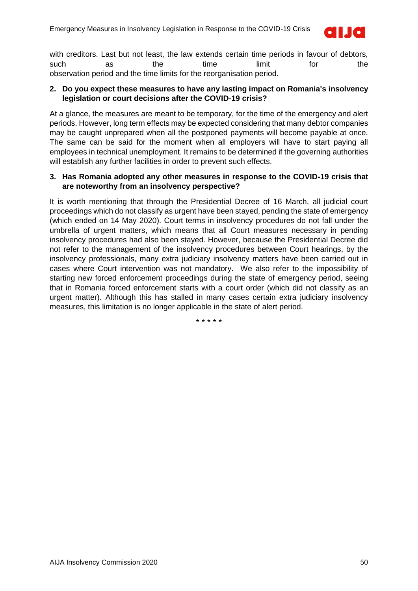

with creditors. Last but not least, the law extends certain time periods in favour of debtors, such as the time limit for the observation period and the time limits for the reorganisation period.

### **2. Do you expect these measures to have any lasting impact on Romania's insolvency legislation or court decisions after the COVID-19 crisis?**

At a glance, the measures are meant to be temporary, for the time of the emergency and alert periods. However, long term effects may be expected considering that many debtor companies may be caught unprepared when all the postponed payments will become payable at once. The same can be said for the moment when all employers will have to start paying all employees in technical unemployment. It remains to be determined if the governing authorities will establish any further facilities in order to prevent such effects.

### **3. Has Romania adopted any other measures in response to the COVID-19 crisis that are noteworthy from an insolvency perspective?**

It is worth mentioning that through the Presidential Decree of 16 March, all judicial court proceedings which do not classify as urgent have been stayed, pending the state of emergency (which ended on 14 May 2020). Court terms in insolvency procedures do not fall under the umbrella of urgent matters, which means that all Court measures necessary in pending insolvency procedures had also been stayed. However, because the Presidential Decree did not refer to the management of the insolvency procedures between Court hearings, by the insolvency professionals, many extra judiciary insolvency matters have been carried out in cases where Court intervention was not mandatory. We also refer to the impossibility of starting new forced enforcement proceedings during the state of emergency period, seeing that in Romania forced enforcement starts with a court order (which did not classify as an urgent matter). Although this has stalled in many cases certain extra judiciary insolvency measures, this limitation is no longer applicable in the state of alert period.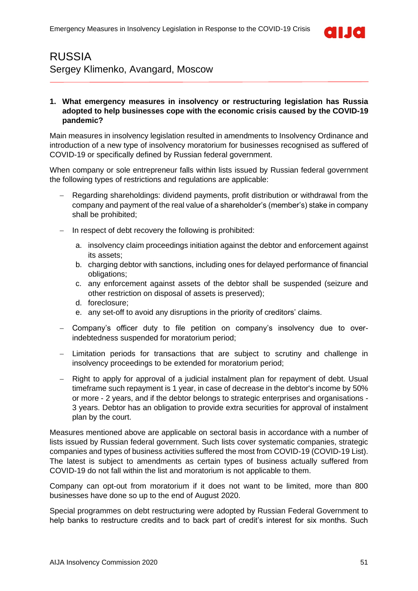

### <span id="page-50-0"></span>RUSSIA Sergey Klimenko, Avangard, Moscow

### **1. What emergency measures in insolvency or restructuring legislation has Russia adopted to help businesses cope with the economic crisis caused by the COVID-19 pandemic?**

Main measures in insolvency legislation resulted in amendments to Insolvency Ordinance and introduction of a new type of insolvency moratorium for businesses recognised as suffered of COVID-19 or specifically defined by Russian federal government.

When company or sole entrepreneur falls within lists issued by Russian federal government the following types of restrictions and regulations are applicable:

- − Regarding shareholdings: dividend payments, profit distribution or withdrawal from the company and payment of the real value of a shareholder's (member's) stake in company shall be prohibited;
- In respect of debt recovery the following is prohibited:
	- a. insolvency claim proceedings initiation against the debtor and enforcement against its assets;
	- b. charging debtor with sanctions, including ones for delayed performance of financial obligations;
	- c. any enforcement against assets of the debtor shall be suspended (seizure and other restriction on disposal of assets is preserved);
	- d. foreclosure;
	- e. any set-off to avoid any disruptions in the priority of creditors' claims.
- − Company's officer duty to file petition on company's insolvency due to overindebtedness suspended for moratorium period;
- Limitation periods for transactions that are subject to scrutiny and challenge in insolvency proceedings to be extended for moratorium period;
- − Right to apply for approval of a judicial instalment plan for repayment of debt. Usual timeframe such repayment is 1 year, in case of decrease in the debtor's income by 50% or more - 2 years, and if the debtor belongs to strategic enterprises and organisations - 3 years. Debtor has an obligation to provide extra securities for approval of instalment plan by the court.

Measures mentioned above are applicable on sectoral basis in accordance with a number of lists issued by Russian federal government. Such lists cover systematic companies, strategic companies and types of business activities suffered the most from COVID-19 (COVID-19 List). The latest is subject to amendments as certain types of business actually suffered from COVID-19 do not fall within the list and moratorium is not applicable to them.

Company can opt-out from moratorium if it does not want to be limited, more than 800 businesses have done so up to the end of August 2020.

Special programmes on debt restructuring were adopted by Russian Federal Government to help banks to restructure credits and to back part of credit's interest for six months. Such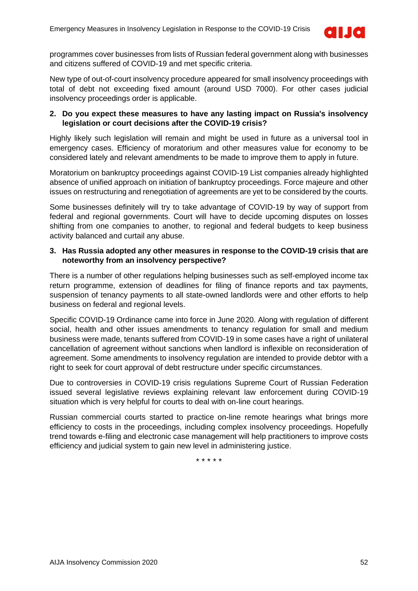

programmes cover businesses from lists of Russian federal government along with businesses and citizens suffered of COVID-19 and met specific criteria.

New type of out-of-court insolvency procedure appeared for small insolvency proceedings with total of debt not exceeding fixed amount (around USD 7000). For other cases judicial insolvency proceedings order is applicable.

### **2. Do you expect these measures to have any lasting impact on Russia's insolvency legislation or court decisions after the COVID-19 crisis?**

Highly likely such legislation will remain and might be used in future as a universal tool in emergency cases. Efficiency of moratorium and other measures value for economy to be considered lately and relevant amendments to be made to improve them to apply in future.

Moratorium on bankruptcy proceedings against COVID-19 List companies already highlighted absence of unified approach on initiation of bankruptcy proceedings. Force majeure and other issues on restructuring and renegotiation of agreements are yet to be considered by the courts.

Some businesses definitely will try to take advantage of COVID-19 by way of support from federal and regional governments. Court will have to decide upcoming disputes on losses shifting from one companies to another, to regional and federal budgets to keep business activity balanced and curtail any abuse.

### **3. Has Russia adopted any other measures in response to the COVID-19 crisis that are noteworthy from an insolvency perspective?**

There is a number of other regulations helping businesses such as self-employed income tax return programme, extension of deadlines for filing of finance reports and tax payments, suspension of tenancy payments to all state-owned landlords were and other efforts to help business on federal and regional levels.

Specific COVID-19 Ordinance came into force in June 2020. Along with regulation of different social, health and other issues amendments to tenancy regulation for small and medium business were made, tenants suffered from COVID-19 in some cases have a right of unilateral cancellation of agreement without sanctions when landlord is inflexible on reconsideration of agreement. Some amendments to insolvency regulation are intended to provide debtor with a right to seek for court approval of debt restructure under specific circumstances.

Due to controversies in COVID-19 crisis regulations Supreme Court of Russian Federation issued several legislative reviews explaining relevant law enforcement during COVID-19 situation which is very helpful for courts to deal with on-line court hearings.

Russian commercial courts started to practice on-line remote hearings what brings more efficiency to costs in the proceedings, including complex insolvency proceedings. Hopefully trend towards e-filing and electronic case management will help practitioners to improve costs efficiency and judicial system to gain new level in administering justice.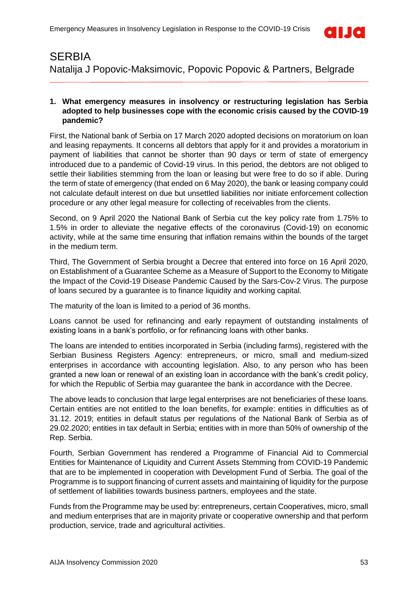

### <span id="page-52-0"></span>**SERBIA** Natalija J Popovic-Maksimovic, Popovic Popovic & Partners, Belgrade

### **1. What emergency measures in insolvency or restructuring legislation has Serbia adopted to help businesses cope with the economic crisis caused by the COVID-19 pandemic?**

First, the National bank of Serbia on 17 March 2020 adopted decisions on moratorium on loan and leasing repayments. It concerns all debtors that apply for it and provides a moratorium in payment of liabilities that cannot be shorter than 90 days or term of state of emergency introduced due to a pandemic of Covid-19 virus. In this period, the debtors are not obliged to settle their liabilities stemming from the loan or leasing but were free to do so if able. During the term of state of emergency (that ended on 6 May 2020), the bank or leasing company could not calculate default interest on due but unsettled liabilities nor initiate enforcement collection procedure or any other legal measure for collecting of receivables from the clients.

Second, on 9 April 2020 the National Bank of Serbia cut the key policy rate from 1.75% to 1.5% in order to alleviate the negative effects of the coronavirus (Covid-19) on economic activity, while at the same time ensuring that inflation remains within the bounds of the target in the medium term.

Third, The Government of Serbia brought a Decree that entered into force on 16 April 2020, on Establishment of a Guarantee Scheme as a Measure of Support to the Economy to Mitigate the Impact of the Covid-19 Disease Pandemic Caused by the Sars-Cov-2 Virus. The purpose of loans secured by a guarantee is to finance liquidity and working capital.

The maturity of the loan is limited to a period of 36 months.

Loans cannot be used for refinancing and early repayment of outstanding instalments of existing loans in a bank's portfolio, or for refinancing loans with other banks.

The loans are intended to entities incorporated in Serbia (including farms), registered with the Serbian Business Registers Agency: entrepreneurs, or micro, small and medium-sized enterprises in accordance with accounting legislation. Also, to any person who has been granted a new loan or renewal of an existing loan in accordance with the bank's credit policy, for which the Republic of Serbia may guarantee the bank in accordance with the Decree.

The above leads to conclusion that large legal enterprises are not beneficiaries of these loans. Certain entities are not entitled to the loan benefits, for example: entities in difficulties as of 31.12. 2019; entities in default status per regulations of the National Bank of Serbia as of 29.02.2020; entities in tax default in Serbia; entities with in more than 50% of ownership of the Rep. Serbia.

Fourth, Serbian Government has rendered a Programme of Financial Aid to Commercial Entities for Maintenance of Liquidity and Current Assets Stemming from COVID-19 Pandemic that are to be implemented in cooperation with Development Fund of Serbia. The goal of the Programme is to support financing of current assets and maintaining of liquidity for the purpose of settlement of liabilities towards business partners, employees and the state.

Funds from the Programme may be used by: entrepreneurs, certain Cooperatives, micro, small and medium enterprises that are in majority private or cooperative ownership and that perform production, service, trade and agricultural activities.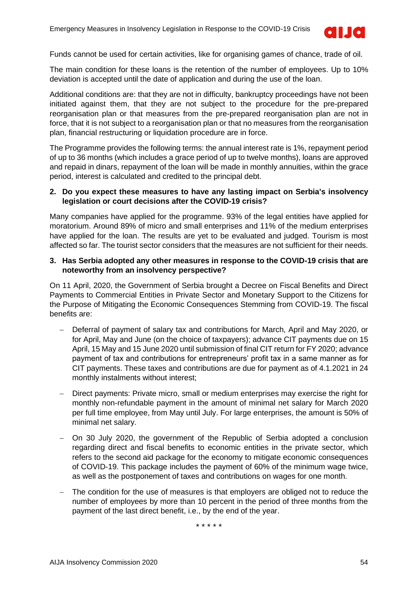

Funds cannot be used for certain activities, like for organising games of chance, trade of oil.

The main condition for these loans is the retention of the number of employees. Up to 10% deviation is accepted until the date of application and during the use of the loan.

Additional conditions are: that they are not in difficulty, bankruptcy proceedings have not been initiated against them, that they are not subject to the procedure for the pre-prepared reorganisation plan or that measures from the pre-prepared reorganisation plan are not in force, that it is not subject to a reorganisation plan or that no measures from the reorganisation plan, financial restructuring or liquidation procedure are in force.

The Programme provides the following terms: the annual interest rate is 1%, repayment period of up to 36 months (which includes a grace period of up to twelve months), loans are approved and repaid in dinars, repayment of the loan will be made in monthly annuities, within the grace period, interest is calculated and credited to the principal debt.

### **2. Do you expect these measures to have any lasting impact on Serbia's insolvency legislation or court decisions after the COVID-19 crisis?**

Many companies have applied for the programme. 93% of the legal entities have applied for moratorium. Around 89% of micro and small enterprises and 11% of the medium enterprises have applied for the loan. The results are yet to be evaluated and judged. Tourism is most affected so far. The tourist sector considers that the measures are not sufficient for their needs.

#### **3. Has Serbia adopted any other measures in response to the COVID-19 crisis that are noteworthy from an insolvency perspective?**

On 11 April, 2020, the Government of Serbia brought a Decree on Fiscal Benefits and Direct Payments to Commercial Entities in Private Sector and Monetary Support to the Citizens for the Purpose of Mitigating the Economic Consequences Stemming from COVID-19. The fiscal benefits are:

- − Deferral of payment of salary tax and contributions for March, April and May 2020, or for April, May and June (on the choice of taxpayers); advance CIT payments due on 15 April, 15 May and 15 June 2020 until submission of final CIT return for FY 2020; advance payment of tax and contributions for entrepreneurs' profit tax in a same manner as for CIT payments. These taxes and contributions are due for payment as of 4.1.2021 in 24 monthly instalments without interest;
- − Direct payments: Private micro, small or medium enterprises may exercise the right for monthly non-refundable payment in the amount of minimal net salary for March 2020 per full time employee, from May until July. For large enterprises, the amount is 50% of minimal net salary.
- On 30 July 2020, the government of the Republic of Serbia adopted a conclusion regarding direct and fiscal benefits to economic entities in the private sector, which refers to the second aid package for the economy to mitigate economic consequences of COVID-19. This package includes the payment of 60% of the minimum wage twice, as well as the postponement of taxes and contributions on wages for one month.
- The condition for the use of measures is that employers are obliged not to reduce the number of employees by more than 10 percent in the period of three months from the payment of the last direct benefit, i.e., by the end of the year.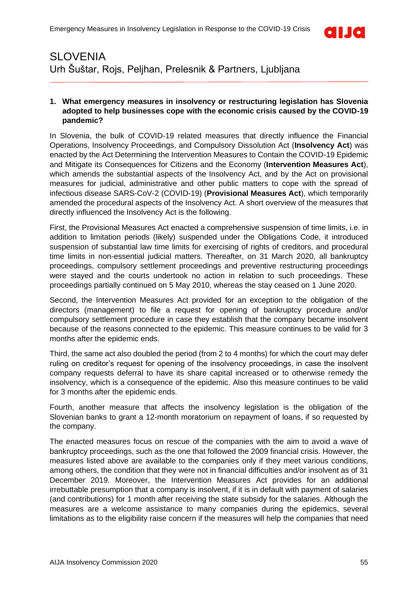

# <span id="page-54-0"></span>**SLOVENIA** Urh Šuštar, Rojs, Peljhan, Prelesnik & Partners, Ljubljana

### **1. What emergency measures in insolvency or restructuring legislation has Slovenia adopted to help businesses cope with the economic crisis caused by the COVID-19 pandemic?**

In Slovenia, the bulk of COVID-19 related measures that directly influence the Financial Operations, Insolvency Proceedings, and Compulsory Dissolution Act (**Insolvency Act**) was enacted by the Act Determining the Intervention Measures to Contain the COVID-19 Epidemic and Mitigate its Consequences for Citizens and the Economy (**Intervention Measures Act**), which amends the substantial aspects of the Insolvency Act, and by the Act on provisional measures for judicial, administrative and other public matters to cope with the spread of infectious disease SARS-CoV-2 (COVID-19) (**Provisional Measures Act**), which temporarily amended the procedural aspects of the Insolvency Act. A short overview of the measures that directly influenced the Insolvency Act is the following.

First, the Provisional Measures Act enacted a comprehensive suspension of time limits, i.e. in addition to limitation periods (likely) suspended under the Obligations Code, it introduced suspension of substantial law time limits for exercising of rights of creditors, and procedural time limits in non-essential judicial matters. Thereafter, on 31 March 2020, all bankruptcy proceedings, compulsory settlement proceedings and preventive restructuring proceedings were stayed and the courts undertook no action in relation to such proceedings. These proceedings partially continued on 5 May 2010, whereas the stay ceased on 1 June 2020.

Second, the Intervention Measures Act provided for an exception to the obligation of the directors (management) to file a request for opening of bankruptcy procedure and/or compulsory settlement procedure in case they establish that the company became insolvent because of the reasons connected to the epidemic. This measure continues to be valid for 3 months after the epidemic ends.

Third, the same act also doubled the period (from 2 to 4 months) for which the court may defer ruling on creditor's request for opening of the insolvency proceedings, in case the insolvent company requests deferral to have its share capital increased or to otherwise remedy the insolvency, which is a consequence of the epidemic. Also this measure continues to be valid for 3 months after the epidemic ends.

Fourth, another measure that affects the insolvency legislation is the obligation of the Slovenian banks to grant a 12-month moratorium on repayment of loans, if so requested by the company.

The enacted measures focus on rescue of the companies with the aim to avoid a wave of bankruptcy proceedings, such as the one that followed the 2009 financial crisis. However, the measures listed above are available to the companies only if they meet various conditions, among others, the condition that they were not in financial difficulties and/or insolvent as of 31 December 2019. Moreover, the Intervention Measures Act provides for an additional irrebuttable presumption that a company is insolvent, if it is in default with payment of salaries (and contributions) for 1 month after receiving the state subsidy for the salaries. Although the measures are a welcome assistance to many companies during the epidemics, several limitations as to the eligibility raise concern if the measures will help the companies that need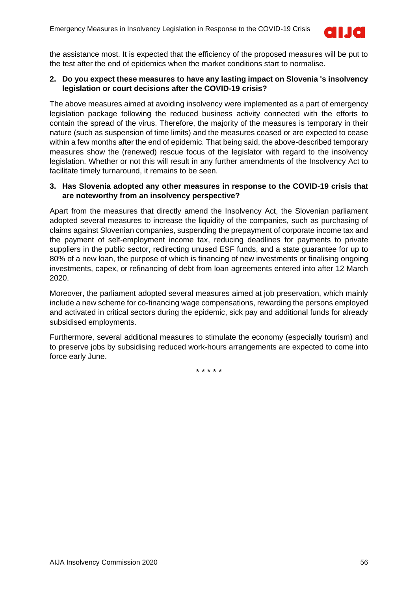

the assistance most. It is expected that the efficiency of the proposed measures will be put to the test after the end of epidemics when the market conditions start to normalise.

### **2. Do you expect these measures to have any lasting impact on Slovenia 's insolvency legislation or court decisions after the COVID-19 crisis?**

The above measures aimed at avoiding insolvency were implemented as a part of emergency legislation package following the reduced business activity connected with the efforts to contain the spread of the virus. Therefore, the majority of the measures is temporary in their nature (such as suspension of time limits) and the measures ceased or are expected to cease within a few months after the end of epidemic. That being said, the above-described temporary measures show the (renewed) rescue focus of the legislator with regard to the insolvency legislation. Whether or not this will result in any further amendments of the Insolvency Act to facilitate timely turnaround, it remains to be seen.

### **3. Has Slovenia adopted any other measures in response to the COVID-19 crisis that are noteworthy from an insolvency perspective?**

Apart from the measures that directly amend the Insolvency Act, the Slovenian parliament adopted several measures to increase the liquidity of the companies, such as purchasing of claims against Slovenian companies, suspending the prepayment of corporate income tax and the payment of self-employment income tax, reducing deadlines for payments to private suppliers in the public sector, redirecting unused ESF funds, and a state guarantee for up to 80% of a new loan, the purpose of which is financing of new investments or finalising ongoing investments, capex, or refinancing of debt from loan agreements entered into after 12 March 2020.

Moreover, the parliament adopted several measures aimed at job preservation, which mainly include a new scheme for co-financing wage compensations, rewarding the persons employed and activated in critical sectors during the epidemic, sick pay and additional funds for already subsidised employments.

Furthermore, several additional measures to stimulate the economy (especially tourism) and to preserve jobs by subsidising reduced work-hours arrangements are expected to come into force early June.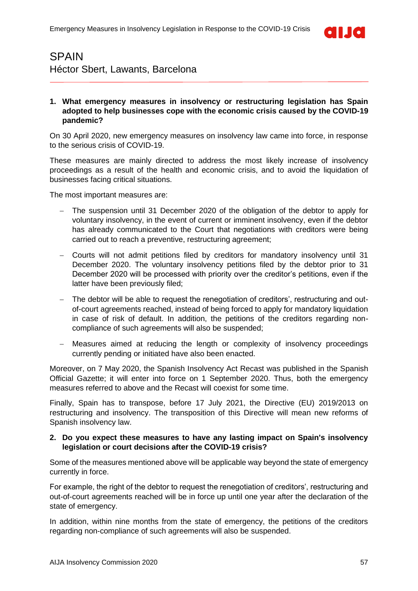

### <span id="page-56-0"></span>SPAIN Héctor Sbert, Lawants, Barcelona

### **1. What emergency measures in insolvency or restructuring legislation has Spain adopted to help businesses cope with the economic crisis caused by the COVID-19 pandemic?**

On 30 April 2020, new emergency measures on insolvency law came into force, in response to the serious crisis of COVID-19.

These measures are mainly directed to address the most likely increase of insolvency proceedings as a result of the health and economic crisis, and to avoid the liquidation of businesses facing critical situations.

The most important measures are:

- The suspension until 31 December 2020 of the obligation of the debtor to apply for voluntary insolvency, in the event of current or imminent insolvency, even if the debtor has already communicated to the Court that negotiations with creditors were being carried out to reach a preventive, restructuring agreement;
- − Courts will not admit petitions filed by creditors for mandatory insolvency until 31 December 2020. The voluntary insolvency petitions filed by the debtor prior to 31 December 2020 will be processed with priority over the creditor's petitions, even if the latter have been previously filed;
- The debtor will be able to request the renegotiation of creditors', restructuring and outof-court agreements reached, instead of being forced to apply for mandatory liquidation in case of risk of default. In addition, the petitions of the creditors regarding noncompliance of such agreements will also be suspended;
- − Measures aimed at reducing the length or complexity of insolvency proceedings currently pending or initiated have also been enacted.

Moreover, on 7 May 2020, the Spanish Insolvency Act Recast was published in the Spanish Official Gazette; it will enter into force on 1 September 2020. Thus, both the emergency measures referred to above and the Recast will coexist for some time.

Finally, Spain has to transpose, before 17 July 2021, the Directive (EU) 2019/2013 on restructuring and insolvency. The transposition of this Directive will mean new reforms of Spanish insolvency law.

### **2. Do you expect these measures to have any lasting impact on Spain's insolvency legislation or court decisions after the COVID-19 crisis?**

Some of the measures mentioned above will be applicable way beyond the state of emergency currently in force.

For example, the right of the debtor to request the renegotiation of creditors', restructuring and out-of-court agreements reached will be in force up until one year after the declaration of the state of emergency.

In addition, within nine months from the state of emergency, the petitions of the creditors regarding non-compliance of such agreements will also be suspended.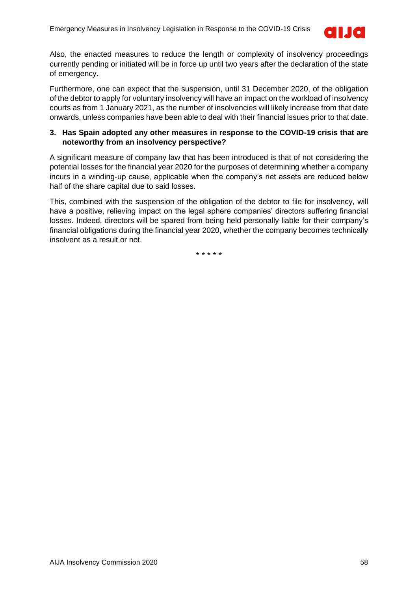

Also, the enacted measures to reduce the length or complexity of insolvency proceedings currently pending or initiated will be in force up until two years after the declaration of the state of emergency.

Furthermore, one can expect that the suspension, until 31 December 2020, of the obligation of the debtor to apply for voluntary insolvency will have an impact on the workload of insolvency courts as from 1 January 2021, as the number of insolvencies will likely increase from that date onwards, unless companies have been able to deal with their financial issues prior to that date.

### **3. Has Spain adopted any other measures in response to the COVID-19 crisis that are noteworthy from an insolvency perspective?**

A significant measure of company law that has been introduced is that of not considering the potential losses for the financial year 2020 for the purposes of determining whether a company incurs in a winding-up cause, applicable when the company's net assets are reduced below half of the share capital due to said losses.

This, combined with the suspension of the obligation of the debtor to file for insolvency, will have a positive, relieving impact on the legal sphere companies' directors suffering financial losses. Indeed, directors will be spared from being held personally liable for their company's financial obligations during the financial year 2020, whether the company becomes technically insolvent as a result or not.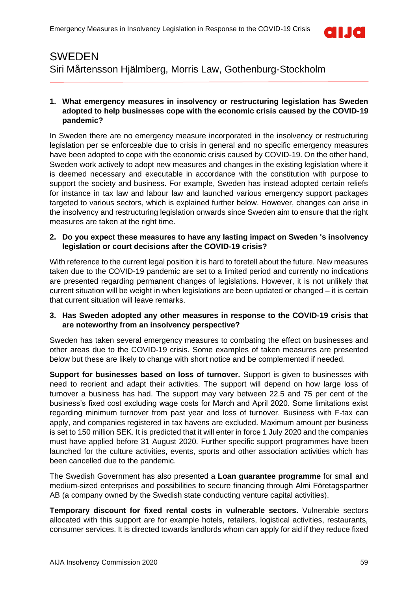

### <span id="page-58-0"></span>SWEDEN Siri Mårtensson Hjälmberg, Morris Law, Gothenburg-Stockholm

### **1. What emergency measures in insolvency or restructuring legislation has Sweden adopted to help businesses cope with the economic crisis caused by the COVID-19 pandemic?**

In Sweden there are no emergency measure incorporated in the insolvency or restructuring legislation per se enforceable due to crisis in general and no specific emergency measures have been adopted to cope with the economic crisis caused by COVID-19. On the other hand, Sweden work actively to adopt new measures and changes in the existing legislation where it is deemed necessary and executable in accordance with the constitution with purpose to support the society and business. For example, Sweden has instead adopted certain reliefs for instance in tax law and labour law and launched various emergency support packages targeted to various sectors, which is explained further below. However, changes can arise in the insolvency and restructuring legislation onwards since Sweden aim to ensure that the right measures are taken at the right time.

### **2. Do you expect these measures to have any lasting impact on Sweden 's insolvency legislation or court decisions after the COVID-19 crisis?**

With reference to the current legal position it is hard to foretell about the future. New measures taken due to the COVID-19 pandemic are set to a limited period and currently no indications are presented regarding permanent changes of legislations. However, it is not unlikely that current situation will be weight in when legislations are been updated or changed – it is certain that current situation will leave remarks.

### **3. Has Sweden adopted any other measures in response to the COVID-19 crisis that are noteworthy from an insolvency perspective?**

Sweden has taken several emergency measures to combating the effect on businesses and other areas due to the COVID-19 crisis. Some examples of taken measures are presented below but these are likely to change with short notice and be complemented if needed.

**Support for businesses based on loss of turnover.** Support is given to businesses with need to reorient and adapt their activities. The support will depend on how large loss of turnover a business has had. The support may vary between 22.5 and 75 per cent of the business's fixed cost excluding wage costs for March and April 2020. Some limitations exist regarding minimum turnover from past year and loss of turnover. Business with F-tax can apply, and companies registered in tax havens are excluded. Maximum amount per business is set to 150 million SEK. It is predicted that it will enter in force 1 July 2020 and the companies must have applied before 31 August 2020. Further specific support programmes have been launched for the culture activities, events, sports and other association activities which has been cancelled due to the pandemic.

The Swedish Government has also presented a **Loan guarantee programme** for small and medium-sized enterprises and possibilities to secure financing through Almi Företagspartner AB (a company owned by the Swedish state conducting venture capital activities).

**Temporary discount for fixed rental costs in vulnerable sectors.** Vulnerable sectors allocated with this support are for example hotels, retailers, logistical activities, restaurants, consumer services. It is directed towards landlords whom can apply for aid if they reduce fixed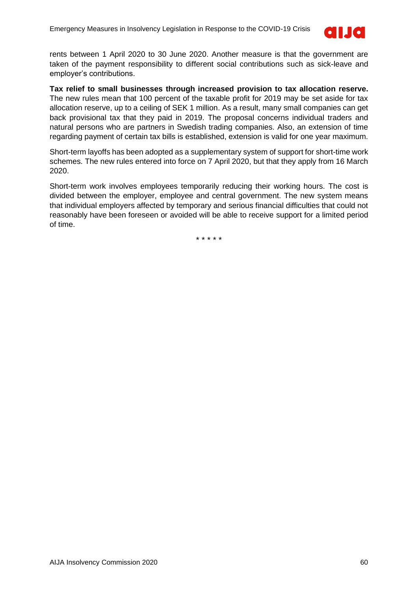

rents between 1 April 2020 to 30 June 2020. Another measure is that the government are taken of the payment responsibility to different social contributions such as sick-leave and employer's contributions.

**Tax relief to small businesses through increased provision to tax allocation reserve.** The new rules mean that 100 percent of the taxable profit for 2019 may be set aside for tax allocation reserve, up to a ceiling of SEK 1 million. As a result, many small companies can get back provisional tax that they paid in 2019. The proposal concerns individual traders and natural persons who are partners in Swedish trading companies. Also, an extension of time regarding payment of certain tax bills is established, extension is valid for one year maximum.

Short-term layoffs has been adopted as a supplementary system of support for short-time work schemes. The new rules entered into force on 7 April 2020, but that they apply from 16 March 2020.

Short-term work involves employees temporarily reducing their working hours. The cost is divided between the employer, employee and central government. The new system means that individual employers affected by temporary and serious financial difficulties that could not reasonably have been foreseen or avoided will be able to receive support for a limited period of time.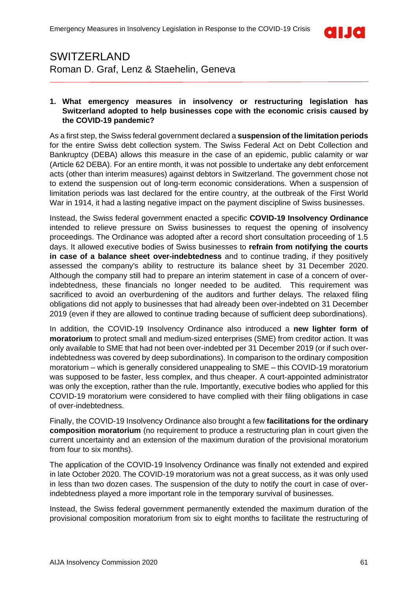

### <span id="page-60-0"></span>SWITZERLAND Roman D. Graf, Lenz & Staehelin, Geneva

#### **1. What emergency measures in insolvency or restructuring legislation has Switzerland adopted to help businesses cope with the economic crisis caused by the COVID-19 pandemic?**

As a first step, the Swiss federal government declared a **suspension of the limitation periods** for the entire Swiss debt collection system. The Swiss Federal Act on Debt Collection and Bankruptcy (DEBA) allows this measure in the case of an epidemic, public calamity or war (Article 62 DEBA). For an entire month, it was not possible to undertake any debt enforcement acts (other than interim measures) against debtors in Switzerland. The government chose not to extend the suspension out of long-term economic considerations. When a suspension of limitation periods was last declared for the entire country, at the outbreak of the First World War in 1914, it had a lasting negative impact on the payment discipline of Swiss businesses.

Instead, the Swiss federal government enacted a specific **COVID-19 Insolvency Ordinance** intended to relieve pressure on Swiss businesses to request the opening of insolvency proceedings. The Ordinance was adopted after a record short consultation proceeding of 1.5 days. It allowed executive bodies of Swiss businesses to **refrain from notifying the courts in case of a balance sheet over-indebtedness** and to continue trading, if they positively assessed the company's ability to restructure its balance sheet by 31 December 2020. Although the company still had to prepare an interim statement in case of a concern of overindebtedness, these financials no longer needed to be audited. This requirement was sacrificed to avoid an overburdening of the auditors and further delays. The relaxed filing obligations did not apply to businesses that had already been over-indebted on 31 December 2019 (even if they are allowed to continue trading because of sufficient deep subordinations).

In addition, the COVID-19 Insolvency Ordinance also introduced a **new lighter form of moratorium** to protect small and medium-sized enterprises (SME) from creditor action. It was only available to SME that had not been over-indebted per 31 December 2019 (or if such overindebtedness was covered by deep subordinations). In comparison to the ordinary composition moratorium – which is generally considered unappealing to SME – this COVID-19 moratorium was supposed to be faster, less complex, and thus cheaper. A court-appointed administrator was only the exception, rather than the rule. Importantly, executive bodies who applied for this COVID-19 moratorium were considered to have complied with their filing obligations in case of over-indebtedness.

Finally, the COVID-19 Insolvency Ordinance also brought a few **facilitations for the ordinary composition moratorium** (no requirement to produce a restructuring plan in court given the current uncertainty and an extension of the maximum duration of the provisional moratorium from four to six months).

The application of the COVID-19 Insolvency Ordinance was finally not extended and expired in late October 2020. The COVID-19 moratorium was not a great success, as it was only used in less than two dozen cases. The suspension of the duty to notify the court in case of overindebtedness played a more important role in the temporary survival of businesses.

Instead, the Swiss federal government permanently extended the maximum duration of the provisional composition moratorium from six to eight months to facilitate the restructuring of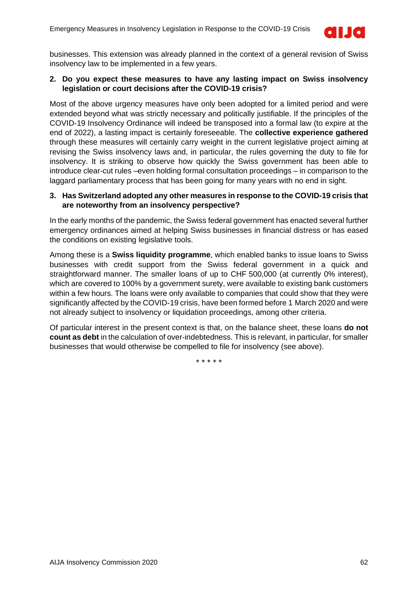

businesses. This extension was already planned in the context of a general revision of Swiss insolvency law to be implemented in a few years.

### **2. Do you expect these measures to have any lasting impact on Swiss insolvency legislation or court decisions after the COVID-19 crisis?**

Most of the above urgency measures have only been adopted for a limited period and were extended beyond what was strictly necessary and politically justifiable. If the principles of the COVID-19 Insolvency Ordinance will indeed be transposed into a formal law (to expire at the end of 2022), a lasting impact is certainly foreseeable. The **collective experience gathered** through these measures will certainly carry weight in the current legislative project aiming at revising the Swiss insolvency laws and, in particular, the rules governing the duty to file for insolvency. It is striking to observe how quickly the Swiss government has been able to introduce clear-cut rules –even holding formal consultation proceedings – in comparison to the laggard parliamentary process that has been going for many years with no end in sight.

### **3. Has Switzerland adopted any other measures in response to the COVID-19 crisis that are noteworthy from an insolvency perspective?**

In the early months of the pandemic, the Swiss federal government has enacted several further emergency ordinances aimed at helping Swiss businesses in financial distress or has eased the conditions on existing legislative tools.

Among these is a **Swiss liquidity programme**, which enabled banks to issue loans to Swiss businesses with credit support from the Swiss federal government in a quick and straightforward manner. The smaller loans of up to CHF 500,000 (at currently 0% interest), which are covered to 100% by a government surety, were available to existing bank customers within a few hours. The loans were only available to companies that could show that they were significantly affected by the COVID-19 crisis, have been formed before 1 March 2020 and were not already subject to insolvency or liquidation proceedings, among other criteria.

Of particular interest in the present context is that, on the balance sheet, these loans **do not count as debt** in the calculation of over-indebtedness. This is relevant, in particular, for smaller businesses that would otherwise be compelled to file for insolvency (see above).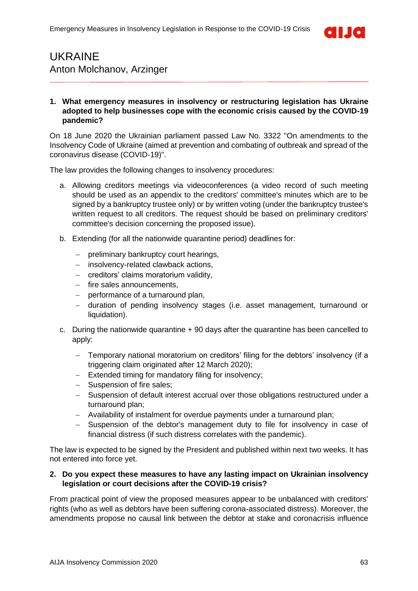

### <span id="page-62-0"></span>UKRAINE Anton Molchanov, Arzinger

### **1. What emergency measures in insolvency or restructuring legislation has Ukraine adopted to help businesses cope with the economic crisis caused by the COVID-19 pandemic?**

On 18 June 2020 the Ukrainian parliament passed Law No. 3322 "On amendments to the Insolvency Code of Ukraine (aimed at prevention and combating of outbreak and spread of the coronavirus disease (COVID-19)".

The law provides the following changes to insolvency procedures:

- a. Allowing creditors meetings via videoconferences (a video record of such meeting should be used as an appendix to the creditors' committee's minutes which are to be signed by a bankruptcy trustee only) or by written voting (under the bankruptcy trustee's written request to all creditors. The request should be based on preliminary creditors' committee's decision concerning the proposed issue).
- b. Extending (for all the nationwide quarantine period) deadlines for:
	- − preliminary bankruptcy court hearings,
	- − insolvency-related clawback actions,
	- − creditors' claims moratorium validity,
	- − fire sales announcements,
	- − performance of a turnaround plan,
	- − duration of pending insolvency stages (i.e. asset management, turnaround or liquidation).
- c. During the nationwide quarantine + 90 days after the quarantine has been cancelled to apply:
	- − Temporary national moratorium on creditors' filing for the debtors' insolvency (if a triggering claim originated after 12 March 2020);
	- − Extended timing for mandatory filing for insolvency;
	- − Suspension of fire sales;
	- − Suspension of default interest accrual over those obligations restructured under a turnaround plan;
	- − Availability of instalment for overdue payments under a turnaround plan;
	- − Suspension of the debtor's management duty to file for insolvency in case of financial distress (if such distress correlates with the pandemic).

The law is expected to be signed by the President and published within next two weeks. It has not entered into force yet.

#### **2. Do you expect these measures to have any lasting impact on Ukrainian insolvency legislation or court decisions after the COVID-19 crisis?**

From practical point of view the proposed measures appear to be unbalanced with creditors' rights (who as well as debtors have been suffering corona-associated distress). Moreover, the amendments propose no causal link between the debtor at stake and coronacrisis influence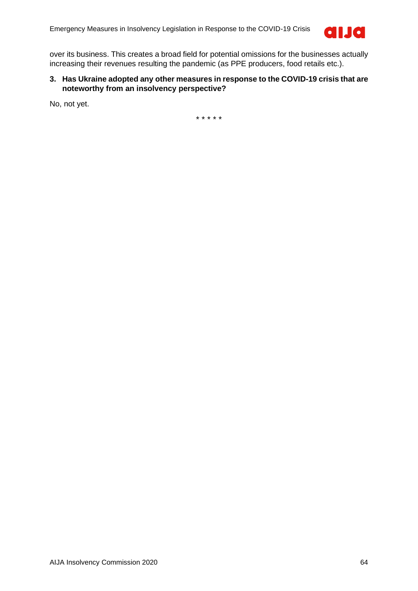

over its business. This creates a broad field for potential omissions for the businesses actually increasing their revenues resulting the pandemic (as PPE producers, food retails etc.).

### **3. Has Ukraine adopted any other measures in response to the COVID-19 crisis that are noteworthy from an insolvency perspective?**

No, not yet.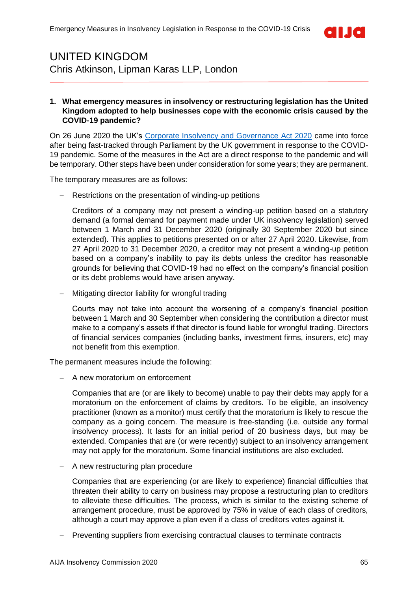

### <span id="page-64-0"></span>UNITED KINGDOM Chris Atkinson, Lipman Karas LLP, London

### **1. What emergency measures in insolvency or restructuring legislation has the United Kingdom adopted to help businesses cope with the economic crisis caused by the COVID-19 pandemic?**

On 26 June 2020 the UK's [Corporate Insolvency and Governance Act 2020](http://www.legislation.gov.uk/ukpga/2020/12/contents/enacted/data.htm) came into force after being fast-tracked through Parliament by the UK government in response to the COVID-19 pandemic. Some of the measures in the Act are a direct response to the pandemic and will be temporary. Other steps have been under consideration for some years; they are permanent.

The temporary measures are as follows:

− Restrictions on the presentation of winding-up petitions

Creditors of a company may not present a winding-up petition based on a statutory demand (a formal demand for payment made under UK insolvency legislation) served between 1 March and 31 December 2020 (originally 30 September 2020 but since extended). This applies to petitions presented on or after 27 April 2020. Likewise, from 27 April 2020 to 31 December 2020, a creditor may not present a winding-up petition based on a company's inability to pay its debts unless the creditor has reasonable grounds for believing that COVID-19 had no effect on the company's financial position or its debt problems would have arisen anyway.

− Mitigating director liability for wrongful trading

Courts may not take into account the worsening of a company's financial position between 1 March and 30 September when considering the contribution a director must make to a company's assets if that director is found liable for wrongful trading. Directors of financial services companies (including banks, investment firms, insurers, etc) may not benefit from this exemption.

The permanent measures include the following:

− A new moratorium on enforcement

Companies that are (or are likely to become) unable to pay their debts may apply for a moratorium on the enforcement of claims by creditors. To be eligible, an insolvency practitioner (known as a monitor) must certify that the moratorium is likely to rescue the company as a going concern. The measure is free-standing (i.e. outside any formal insolvency process). It lasts for an initial period of 20 business days, but may be extended. Companies that are (or were recently) subject to an insolvency arrangement may not apply for the moratorium. Some financial institutions are also excluded.

A new restructuring plan procedure

Companies that are experiencing (or are likely to experience) financial difficulties that threaten their ability to carry on business may propose a restructuring plan to creditors to alleviate these difficulties. The process, which is similar to the existing scheme of arrangement procedure, must be approved by 75% in value of each class of creditors, although a court may approve a plan even if a class of creditors votes against it.

− Preventing suppliers from exercising contractual clauses to terminate contracts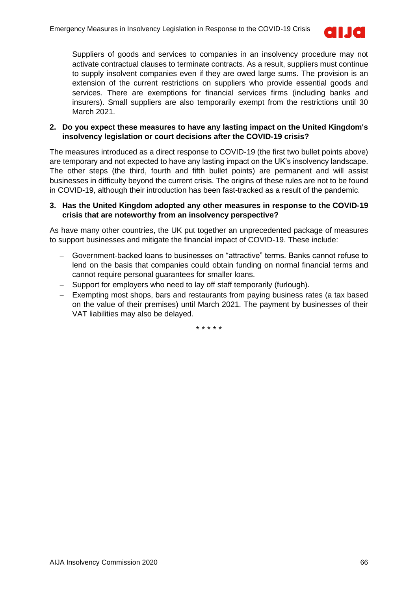

Suppliers of goods and services to companies in an insolvency procedure may not activate contractual clauses to terminate contracts. As a result, suppliers must continue to supply insolvent companies even if they are owed large sums. The provision is an extension of the current restrictions on suppliers who provide essential goods and services. There are exemptions for financial services firms (including banks and insurers). Small suppliers are also temporarily exempt from the restrictions until 30 March 2021.

### **2. Do you expect these measures to have any lasting impact on the United Kingdom's insolvency legislation or court decisions after the COVID-19 crisis?**

The measures introduced as a direct response to COVID-19 (the first two bullet points above) are temporary and not expected to have any lasting impact on the UK's insolvency landscape. The other steps (the third, fourth and fifth bullet points) are permanent and will assist businesses in difficulty beyond the current crisis. The origins of these rules are not to be found in COVID-19, although their introduction has been fast-tracked as a result of the pandemic.

### **3. Has the United Kingdom adopted any other measures in response to the COVID-19 crisis that are noteworthy from an insolvency perspective?**

As have many other countries, the UK put together an unprecedented package of measures to support businesses and mitigate the financial impact of COVID-19. These include:

- − Government-backed loans to businesses on "attractive" terms. Banks cannot refuse to lend on the basis that companies could obtain funding on normal financial terms and cannot require personal guarantees for smaller loans.
- − Support for employers who need to lay off staff temporarily (furlough).
- − Exempting most shops, bars and restaurants from paying business rates (a tax based on the value of their premises) until March 2021. The payment by businesses of their VAT liabilities may also be delayed.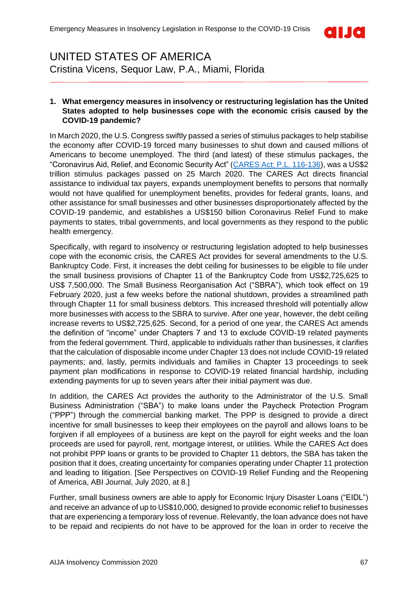

### <span id="page-66-0"></span>UNITED STATES OF AMERICA Cristina Vicens, Sequor Law, P.A., Miami, Florida

#### **1. What emergency measures in insolvency or restructuring legislation has the United States adopted to help businesses cope with the economic crisis caused by the COVID-19 pandemic?**

In March 2020, the U.S. Congress swiftly passed a series of stimulus packages to help stabilise the economy after COVID-19 forced many businesses to shut down and caused millions of Americans to become unemployed. The third (and latest) of these stimulus packages, the "Coronavirus Aid, Relief, and Economic Security Act" [\(CARES Act; P.L. 116-136\)](https://www.help.senate.gov/imo/media/doc/CARES%20Section-by-Section%20FINAL.PDF), was a US\$2 trillion stimulus packages passed on 25 March 2020. The CARES Act directs financial assistance to individual tax payers, expands unemployment benefits to persons that normally would not have qualified for unemployment benefits, provides for federal grants, loans, and other assistance for small businesses and other businesses disproportionately affected by the COVID-19 pandemic, and establishes a US\$150 billion Coronavirus Relief Fund to make payments to states, tribal governments, and local governments as they respond to the public health emergency.

Specifically, with regard to insolvency or restructuring legislation adopted to help businesses cope with the economic crisis, the CARES Act provides for several amendments to the U.S. Bankruptcy Code. First, it increases the debt ceiling for businesses to be eligible to file under the small business provisions of Chapter 11 of the Bankruptcy Code from US\$2,725,625 to US\$ 7,500,000. The Small Business Reorganisation Act ("SBRA"), which took effect on 19 February 2020, just a few weeks before the national shutdown, provides a streamlined path through Chapter 11 for small business debtors. This increased threshold will potentially allow more businesses with access to the SBRA to survive. After one year, however, the debt ceiling increase reverts to US\$2,725,625. Second, for a period of one year, the CARES Act amends the definition of "income" under Chapters 7 and 13 to exclude COVID-19 related payments from the federal government. Third, applicable to individuals rather than businesses, it clarifies that the calculation of disposable income under Chapter 13 does not include COVID-19 related payments; and, lastly, permits individuals and families in Chapter 13 proceedings to seek payment plan modifications in response to COVID-19 related financial hardship, including extending payments for up to seven years after their initial payment was due.

In addition, the CARES Act provides the authority to the Administrator of the U.S. Small Business Administration ("SBA") to make loans under the Paycheck Protection Program ("PPP") through the commercial banking market. The PPP is designed to provide a direct incentive for small businesses to keep their employees on the payroll and allows loans to be forgiven if all employees of a business are kept on the payroll for eight weeks and the loan proceeds are used for payroll, rent, mortgage interest, or utilities. While the CARES Act does not prohibit PPP loans or grants to be provided to Chapter 11 debtors, the SBA has taken the position that it does, creating uncertainty for companies operating under Chapter 11 protection and leading to litigation. [See Perspectives on COVID-19 Relief Funding and the Reopening of America, ABI Journal, July 2020, at 8.]

Further, small business owners are able to apply for Economic Injury Disaster Loans ("EIDL") and receive an advance of up to US\$10,000, designed to provide economic relief to businesses that are experiencing a temporary loss of revenue. Relevantly, the loan advance does not have to be repaid and recipients do not have to be approved for the loan in order to receive the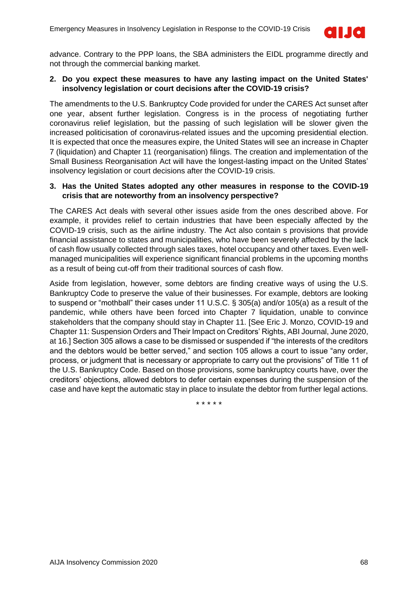

advance. Contrary to the PPP loans, the SBA administers the EIDL programme directly and not through the commercial banking market.

### **2. Do you expect these measures to have any lasting impact on the United States' insolvency legislation or court decisions after the COVID-19 crisis?**

The amendments to the U.S. Bankruptcy Code provided for under the CARES Act sunset after one year, absent further legislation. Congress is in the process of negotiating further coronavirus relief legislation, but the passing of such legislation will be slower given the increased politicisation of coronavirus-related issues and the upcoming presidential election. It is expected that once the measures expire, the United States will see an increase in Chapter 7 (liquidation) and Chapter 11 (reorganisation) filings. The creation and implementation of the Small Business Reorganisation Act will have the longest-lasting impact on the United States' insolvency legislation or court decisions after the COVID-19 crisis.

### **3. Has the United States adopted any other measures in response to the COVID-19 crisis that are noteworthy from an insolvency perspective?**

The CARES Act deals with several other issues aside from the ones described above. For example, it provides relief to certain industries that have been especially affected by the COVID-19 crisis, such as the airline industry. The Act also contain s provisions that provide financial assistance to states and municipalities, who have been severely affected by the lack of cash flow usually collected through sales taxes, hotel occupancy and other taxes. Even wellmanaged municipalities will experience significant financial problems in the upcoming months as a result of being cut-off from their traditional sources of cash flow.

Aside from legislation, however, some debtors are finding creative ways of using the U.S. Bankruptcy Code to preserve the value of their businesses. For example, debtors are looking to suspend or "mothball" their cases under 11 U.S.C. § 305(a) and/or 105(a) as a result of the pandemic, while others have been forced into Chapter 7 liquidation, unable to convince stakeholders that the company should stay in Chapter 11. [See Eric J. Monzo, COVID-19 and Chapter 11: Suspension Orders and Their Impact on Creditors' Rights, ABI Journal, June 2020, at 16.] Section 305 allows a case to be dismissed or suspended if "the interests of the creditors and the debtors would be better served," and section 105 allows a court to issue "any order, process, or judgment that is necessary or appropriate to carry out the provisions" of Title 11 of the U.S. Bankruptcy Code. Based on those provisions, some bankruptcy courts have, over the creditors' objections, allowed debtors to defer certain expenses during the suspension of the case and have kept the automatic stay in place to insulate the debtor from further legal actions.